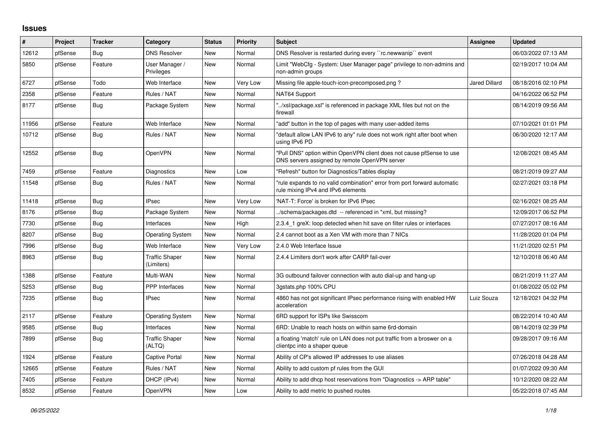## **Issues**

| #     | Project | <b>Tracker</b> | Category                            | <b>Status</b> | <b>Priority</b> | <b>Subject</b>                                                                                                         | Assignee             | <b>Updated</b>      |
|-------|---------|----------------|-------------------------------------|---------------|-----------------|------------------------------------------------------------------------------------------------------------------------|----------------------|---------------------|
| 12612 | pfSense | Bug            | <b>DNS Resolver</b>                 | New           | Normal          | DNS Resolver is restarted during every "rc.newwanip" event                                                             |                      | 06/03/2022 07:13 AM |
| 5850  | pfSense | Feature        | User Manager /<br>Privileges        | <b>New</b>    | Normal          | Limit "WebCfg - System: User Manager page" privilege to non-admins and<br>non-admin groups                             |                      | 02/19/2017 10:04 AM |
| 6727  | pfSense | Todo           | Web Interface                       | New           | Very Low        | Missing file apple-touch-icon-precomposed.png?                                                                         | <b>Jared Dillard</b> | 08/18/2016 02:10 PM |
| 2358  | pfSense | Feature        | Rules / NAT                         | New           | Normal          | NAT64 Support                                                                                                          |                      | 04/16/2022 06:52 PM |
| 8177  | pfSense | <b>Bug</b>     | Package System                      | <b>New</b>    | Normal          | "/xsl/package.xsl" is referenced in package XML files but not on the<br>firewall                                       |                      | 08/14/2019 09:56 AM |
| 11956 | pfSense | Feature        | Web Interface                       | <b>New</b>    | Normal          | "add" button in the top of pages with many user-added items                                                            |                      | 07/10/2021 01:01 PM |
| 10712 | pfSense | <b>Bug</b>     | Rules / NAT                         | <b>New</b>    | Normal          | 'default allow LAN IPv6 to any" rule does not work right after boot when<br>using IPv6 PD                              |                      | 06/30/2020 12:17 AM |
| 12552 | pfSense | <b>Bug</b>     | <b>OpenVPN</b>                      | <b>New</b>    | Normal          | "Pull DNS" option within OpenVPN client does not cause pfSense to use<br>DNS servers assigned by remote OpenVPN server |                      | 12/08/2021 08:45 AM |
| 7459  | pfSense | Feature        | Diagnostics                         | New           | Low             | "Refresh" button for Diagnostics/Tables display                                                                        |                      | 08/21/2019 09:27 AM |
| 11548 | pfSense | <b>Bug</b>     | Rules / NAT                         | <b>New</b>    | Normal          | "rule expands to no valid combination" error from port forward automatic<br>rule mixing IPv4 and IPv6 elements         |                      | 02/27/2021 03:18 PM |
| 11418 | pfSense | Bug            | <b>IPsec</b>                        | <b>New</b>    | Very Low        | 'NAT-T: Force' is broken for IPv6 IPsec                                                                                |                      | 02/16/2021 08:25 AM |
| 8176  | pfSense | Bug            | Package System                      | New           | Normal          | ./schema/packages.dtd -- referenced in *xml, but missing?                                                              |                      | 12/09/2017 06:52 PM |
| 7730  | pfSense | Bug            | Interfaces                          | New           | High            | 2.3.4 1 greX: loop detected when hit save on filter rules or interfaces                                                |                      | 07/27/2017 08:16 AM |
| 8207  | pfSense | <b>Bug</b>     | <b>Operating System</b>             | <b>New</b>    | Normal          | 2.4 cannot boot as a Xen VM with more than 7 NICs                                                                      |                      | 11/28/2020 01:04 PM |
| 7996  | pfSense | <b>Bug</b>     | Web Interface                       | New           | Very Low        | 2.4.0 Web Interface Issue                                                                                              |                      | 11/21/2020 02:51 PM |
| 8963  | pfSense | Bug            | <b>Traffic Shaper</b><br>(Limiters) | <b>New</b>    | Normal          | 2.4.4 Limiters don't work after CARP fail-over                                                                         |                      | 12/10/2018 06:40 AM |
| 1388  | pfSense | Feature        | Multi-WAN                           | <b>New</b>    | Normal          | 3G outbound failover connection with auto dial-up and hang-up                                                          |                      | 08/21/2019 11:27 AM |
| 5253  | pfSense | Bug            | <b>PPP</b> Interfaces               | New           | Normal          | 3gstats.php 100% CPU                                                                                                   |                      | 01/08/2022 05:02 PM |
| 7235  | pfSense | <b>Bug</b>     | <b>IPsec</b>                        | <b>New</b>    | Normal          | 4860 has not got significant IPsec performance rising with enabled HW<br>acceleration                                  | Luiz Souza           | 12/18/2021 04:32 PM |
| 2117  | pfSense | Feature        | <b>Operating System</b>             | <b>New</b>    | Normal          | 6RD support for ISPs like Swisscom                                                                                     |                      | 08/22/2014 10:40 AM |
| 9585  | pfSense | Bug            | Interfaces                          | New           | Normal          | 6RD: Unable to reach hosts on within same 6rd-domain                                                                   |                      | 08/14/2019 02:39 PM |
| 7899  | pfSense | Bug            | <b>Traffic Shaper</b><br>(ALTQ)     | <b>New</b>    | Normal          | a floating 'match' rule on LAN does not put traffic from a broswer on a<br>clientpc into a shaper queue                |                      | 09/28/2017 09:16 AM |
| 1924  | pfSense | Feature        | <b>Captive Portal</b>               | <b>New</b>    | Normal          | Ability of CP's allowed IP addresses to use aliases                                                                    |                      | 07/26/2018 04:28 AM |
| 12665 | pfSense | Feature        | Rules / NAT                         | New           | Normal          | Ability to add custom pf rules from the GUI                                                                            |                      | 01/07/2022 09:30 AM |
| 7405  | pfSense | Feature        | DHCP (IPv4)                         | <b>New</b>    | Normal          | Ability to add dhcp host reservations from "Diagnostics -> ARP table"                                                  |                      | 10/12/2020 08:22 AM |
| 8532  | pfSense | Feature        | OpenVPN                             | New           | Low             | Ability to add metric to pushed routes                                                                                 |                      | 05/22/2018 07:45 AM |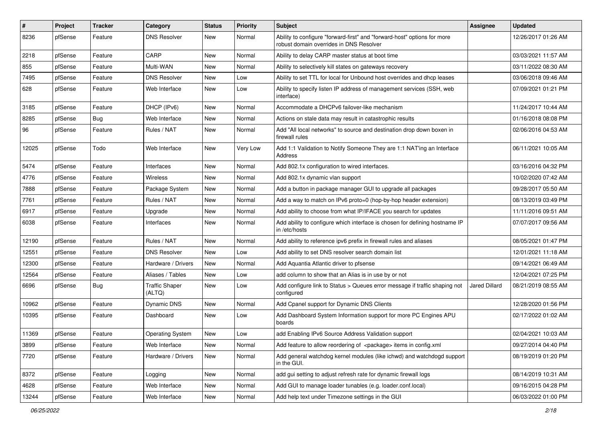| #     | Project | <b>Tracker</b> | Category                        | <b>Status</b> | Priority | Subject                                                                                                             | Assignee      | <b>Updated</b>      |
|-------|---------|----------------|---------------------------------|---------------|----------|---------------------------------------------------------------------------------------------------------------------|---------------|---------------------|
| 8236  | pfSense | Feature        | <b>DNS Resolver</b>             | New           | Normal   | Ability to configure "forward-first" and "forward-host" options for more<br>robust domain overrides in DNS Resolver |               | 12/26/2017 01:26 AM |
| 2218  | pfSense | Feature        | CARP                            | New           | Normal   | Ability to delay CARP master status at boot time                                                                    |               | 03/03/2021 11:57 AM |
| 855   | pfSense | Feature        | Multi-WAN                       | New           | Normal   | Ability to selectively kill states on gateways recovery                                                             |               | 03/11/2022 08:30 AM |
| 7495  | pfSense | Feature        | <b>DNS Resolver</b>             | New           | Low      | Ability to set TTL for local for Unbound host overrides and dhcp leases                                             |               | 03/06/2018 09:46 AM |
| 628   | pfSense | Feature        | Web Interface                   | New           | Low      | Ability to specify listen IP address of management services (SSH, web<br>interface)                                 |               | 07/09/2021 01:21 PM |
| 3185  | pfSense | Feature        | DHCP (IPv6)                     | <b>New</b>    | Normal   | Accommodate a DHCPv6 failover-like mechanism                                                                        |               | 11/24/2017 10:44 AM |
| 8285  | pfSense | Bug            | Web Interface                   | New           | Normal   | Actions on stale data may result in catastrophic results                                                            |               | 01/16/2018 08:08 PM |
| 96    | pfSense | Feature        | Rules / NAT                     | New           | Normal   | Add "All local networks" to source and destination drop down boxen in<br>firewall rules                             |               | 02/06/2016 04:53 AM |
| 12025 | pfSense | Todo           | Web Interface                   | New           | Very Low | Add 1:1 Validation to Notify Someone They are 1:1 NAT'ing an Interface<br>Address                                   |               | 06/11/2021 10:05 AM |
| 5474  | pfSense | Feature        | Interfaces                      | New           | Normal   | Add 802.1x configuration to wired interfaces.                                                                       |               | 03/16/2016 04:32 PM |
| 4776  | pfSense | Feature        | Wireless                        | New           | Normal   | Add 802.1x dynamic vlan support                                                                                     |               | 10/02/2020 07:42 AM |
| 7888  | pfSense | Feature        | Package System                  | New           | Normal   | Add a button in package manager GUI to upgrade all packages                                                         |               | 09/28/2017 05:50 AM |
| 7761  | pfSense | Feature        | Rules / NAT                     | New           | Normal   | Add a way to match on IPv6 proto=0 (hop-by-hop header extension)                                                    |               | 08/13/2019 03:49 PM |
| 6917  | pfSense | Feature        | Upgrade                         | New           | Normal   | Add ability to choose from what IP/IFACE you search for updates                                                     |               | 11/11/2016 09:51 AM |
| 6038  | pfSense | Feature        | Interfaces                      | New           | Normal   | Add ability to configure which interface is chosen for defining hostname IP<br>in /etc/hosts                        |               | 07/07/2017 09:56 AM |
| 12190 | pfSense | Feature        | Rules / NAT                     | New           | Normal   | Add ability to reference ipv6 prefix in firewall rules and aliases                                                  |               | 08/05/2021 01:47 PM |
| 12551 | pfSense | Feature        | <b>DNS Resolver</b>             | New           | Low      | Add ability to set DNS resolver search domain list                                                                  |               | 12/01/2021 11:18 AM |
| 12300 | pfSense | Feature        | Hardware / Drivers              | New           | Normal   | Add Aquantia Atlantic driver to pfsense                                                                             |               | 09/14/2021 06:49 AM |
| 12564 | pfSense | Feature        | Aliases / Tables                | <b>New</b>    | Low      | add column to show that an Alias is in use by or not                                                                |               | 12/04/2021 07:25 PM |
| 6696  | pfSense | <b>Bug</b>     | <b>Traffic Shaper</b><br>(ALTQ) | New           | Low      | Add configure link to Status > Queues error message if traffic shaping not<br>configured                            | Jared Dillard | 08/21/2019 08:55 AM |
| 10962 | pfSense | Feature        | Dynamic DNS                     | New           | Normal   | Add Cpanel support for Dynamic DNS Clients                                                                          |               | 12/28/2020 01:56 PM |
| 10395 | pfSense | Feature        | Dashboard                       | New           | Low      | Add Dashboard System Information support for more PC Engines APU<br>boards                                          |               | 02/17/2022 01:02 AM |
| 11369 | pfSense | Feature        | <b>Operating System</b>         | New           | Low      | add Enabling IPv6 Source Address Validation support                                                                 |               | 02/04/2021 10:03 AM |
| 3899  | pfSense | Feature        | Web Interface                   | New           | Normal   | Add feature to allow reordering of <package> items in config.xml</package>                                          |               | 09/27/2014 04:40 PM |
| 7720  | pfSense | Feature        | Hardware / Drivers              | New           | Normal   | Add general watchdog kernel modules (like ichwd) and watchdogd support<br>in the GUI.                               |               | 08/19/2019 01:20 PM |
| 8372  | pfSense | Feature        | Logging                         | New           | Normal   | add gui setting to adjust refresh rate for dynamic firewall logs                                                    |               | 08/14/2019 10:31 AM |
| 4628  | pfSense | Feature        | Web Interface                   | New           | Normal   | Add GUI to manage loader tunables (e.g. loader.conf.local)                                                          |               | 09/16/2015 04:28 PM |
| 13244 | pfSense | Feature        | Web Interface                   | New           | Normal   | Add help text under Timezone settings in the GUI                                                                    |               | 06/03/2022 01:00 PM |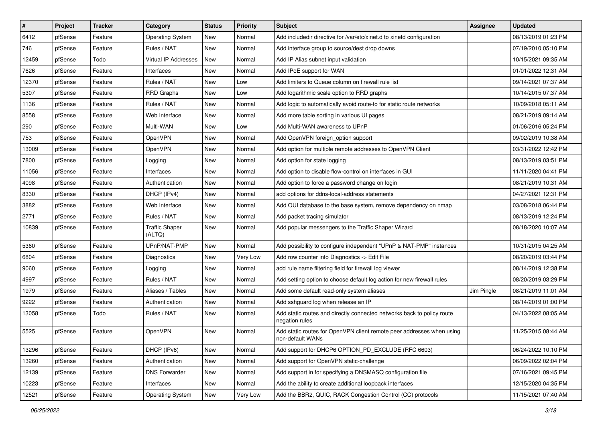| #     | Project | <b>Tracker</b> | Category                        | <b>Status</b> | <b>Priority</b> | Subject                                                                                   | <b>Assignee</b> | <b>Updated</b>      |
|-------|---------|----------------|---------------------------------|---------------|-----------------|-------------------------------------------------------------------------------------------|-----------------|---------------------|
| 6412  | pfSense | Feature        | <b>Operating System</b>         | New           | Normal          | Add includedir directive for /var/etc/xinet.d to xinetd configuration                     |                 | 08/13/2019 01:23 PM |
| 746   | pfSense | Feature        | Rules / NAT                     | New           | Normal          | Add interface group to source/dest drop downs                                             |                 | 07/19/2010 05:10 PM |
| 12459 | pfSense | Todo           | Virtual IP Addresses            | New           | Normal          | Add IP Alias subnet input validation                                                      |                 | 10/15/2021 09:35 AM |
| 7626  | pfSense | Feature        | Interfaces                      | New           | Normal          | Add IPoE support for WAN                                                                  |                 | 01/01/2022 12:31 AM |
| 12370 | pfSense | Feature        | Rules / NAT                     | New           | Low             | Add limiters to Queue column on firewall rule list                                        |                 | 09/14/2021 07:37 AM |
| 5307  | pfSense | Feature        | <b>RRD Graphs</b>               | New           | Low             | Add logarithmic scale option to RRD graphs                                                |                 | 10/14/2015 07:37 AM |
| 1136  | pfSense | Feature        | Rules / NAT                     | New           | Normal          | Add logic to automatically avoid route-to for static route networks                       |                 | 10/09/2018 05:11 AM |
| 8558  | pfSense | Feature        | Web Interface                   | New           | Normal          | Add more table sorting in various UI pages                                                |                 | 08/21/2019 09:14 AM |
| 290   | pfSense | Feature        | Multi-WAN                       | New           | Low             | Add Multi-WAN awareness to UPnP                                                           |                 | 01/06/2016 05:24 PM |
| 753   | pfSense | Feature        | OpenVPN                         | New           | Normal          | Add OpenVPN foreign option support                                                        |                 | 09/02/2019 10:38 AM |
| 13009 | pfSense | Feature        | OpenVPN                         | New           | Normal          | Add option for multiple remote addresses to OpenVPN Client                                |                 | 03/31/2022 12:42 PM |
| 7800  | pfSense | Feature        | Logging                         | New           | Normal          | Add option for state logging                                                              |                 | 08/13/2019 03:51 PM |
| 11056 | pfSense | Feature        | Interfaces                      | New           | Normal          | Add option to disable flow-control on interfaces in GUI                                   |                 | 11/11/2020 04:41 PM |
| 4098  | pfSense | Feature        | Authentication                  | New           | Normal          | Add option to force a password change on login                                            |                 | 08/21/2019 10:31 AM |
| 8330  | pfSense | Feature        | DHCP (IPv4)                     | New           | Normal          | add options for ddns-local-address statements                                             |                 | 04/27/2021 12:31 PM |
| 3882  | pfSense | Feature        | Web Interface                   | New           | Normal          | Add OUI database to the base system, remove dependency on nmap                            |                 | 03/08/2018 06:44 PM |
| 2771  | pfSense | Feature        | Rules / NAT                     | New           | Normal          | Add packet tracing simulator                                                              |                 | 08/13/2019 12:24 PM |
| 10839 | pfSense | Feature        | <b>Traffic Shaper</b><br>(ALTQ) | New           | Normal          | Add popular messengers to the Traffic Shaper Wizard                                       |                 | 08/18/2020 10:07 AM |
| 5360  | pfSense | Feature        | UPnP/NAT-PMP                    | New           | Normal          | Add possibility to configure independent "UPnP & NAT-PMP" instances                       |                 | 10/31/2015 04:25 AM |
| 6804  | pfSense | Feature        | Diagnostics                     | New           | Very Low        | Add row counter into Diagnostics -> Edit File                                             |                 | 08/20/2019 03:44 PM |
| 9060  | pfSense | Feature        | Logging                         | New           | Normal          | add rule name filtering field for firewall log viewer                                     |                 | 08/14/2019 12:38 PM |
| 4997  | pfSense | Feature        | Rules / NAT                     | New           | Normal          | Add setting option to choose default log action for new firewall rules                    |                 | 08/20/2019 03:29 PM |
| 1979  | pfSense | Feature        | Aliases / Tables                | New           | Normal          | Add some default read-only system aliases                                                 | Jim Pingle      | 08/21/2019 11:01 AM |
| 9222  | pfSense | Feature        | Authentication                  | New           | Normal          | Add sshguard log when release an IP                                                       |                 | 08/14/2019 01:00 PM |
| 13058 | pfSense | Todo           | Rules / NAT                     | <b>New</b>    | Normal          | Add static routes and directly connected networks back to policy route<br>negation rules  |                 | 04/13/2022 08:05 AM |
| 5525  | pfSense | Feature        | OpenVPN                         | New           | Normal          | Add static routes for OpenVPN client remote peer addresses when using<br>non-default WANs |                 | 11/25/2015 08:44 AM |
| 13296 | pfSense | Feature        | DHCP (IPv6)                     | New           | Normal          | Add support for DHCP6 OPTION_PD_EXCLUDE (RFC 6603)                                        |                 | 06/24/2022 10:10 PM |
| 13260 | pfSense | Feature        | Authentication                  | New           | Normal          | Add support for OpenVPN static-challenge                                                  |                 | 06/09/2022 02:04 PM |
| 12139 | pfSense | Feature        | <b>DNS Forwarder</b>            | New           | Normal          | Add support in for specifying a DNSMASQ configuration file                                |                 | 07/16/2021 09:45 PM |
| 10223 | pfSense | Feature        | Interfaces                      | New           | Normal          | Add the ability to create additional loopback interfaces                                  |                 | 12/15/2020 04:35 PM |
| 12521 | pfSense | Feature        | <b>Operating System</b>         | New           | Very Low        | Add the BBR2, QUIC, RACK Congestion Control (CC) protocols                                |                 | 11/15/2021 07:40 AM |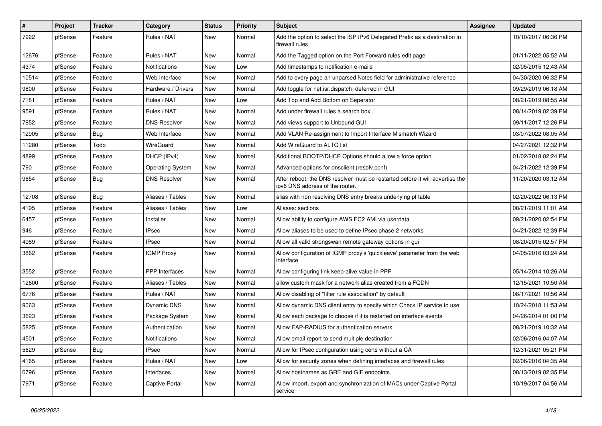| $\sharp$ | Project | <b>Tracker</b> | Category                | <b>Status</b> | <b>Priority</b> | <b>Subject</b>                                                                                                   | Assignee | <b>Updated</b>      |
|----------|---------|----------------|-------------------------|---------------|-----------------|------------------------------------------------------------------------------------------------------------------|----------|---------------------|
| 7922     | pfSense | Feature        | Rules / NAT             | New           | Normal          | Add the option to select the ISP IPv6 Delegated Prefix as a destination in<br>firewall rules                     |          | 10/10/2017 06:36 PM |
| 12676    | pfSense | Feature        | Rules / NAT             | New           | Normal          | Add the Tagged option on the Port Forward rules edit page                                                        |          | 01/11/2022 05:52 AM |
| 4374     | pfSense | Feature        | Notifications           | New           | Low             | Add timestamps to notification e-mails                                                                           |          | 02/05/2015 12:43 AM |
| 10514    | pfSense | Feature        | Web Interface           | New           | Normal          | Add to every page an unparsed Notes field for administrative reference                                           |          | 04/30/2020 06:32 PM |
| 9800     | pfSense | Feature        | Hardware / Drivers      | New           | Normal          | Add toggle for net.isr.dispatch=deferred in GUI                                                                  |          | 09/29/2019 06:18 AM |
| 7181     | pfSense | Feature        | Rules / NAT             | New           | Low             | Add Top and Add Bottom on Seperator                                                                              |          | 08/21/2019 08:55 AM |
| 9591     | pfSense | Feature        | Rules / NAT             | New           | Normal          | Add under firewall rules a search box                                                                            |          | 08/14/2019 02:39 PM |
| 7852     | pfSense | Feature        | <b>DNS Resolver</b>     | New           | Normal          | Add views support to Unbound GUI                                                                                 |          | 09/11/2017 12:26 PM |
| 12905    | pfSense | <b>Bug</b>     | Web Interface           | New           | Normal          | Add VLAN Re-assignment to Import Interface Mismatch Wizard                                                       |          | 03/07/2022 08:05 AM |
| 11280    | pfSense | Todo           | WireGuard               | New           | Normal          | Add WireGuard to ALTQ list                                                                                       |          | 04/27/2021 12:32 PM |
| 4899     | pfSense | Feature        | DHCP (IPv4)             | New           | Normal          | Additional BOOTP/DHCP Options should allow a force option                                                        |          | 01/02/2018 02:24 PM |
| 790      | pfSense | Feature        | <b>Operating System</b> | New           | Normal          | Advanced options for dnsclient (resolv.conf)                                                                     |          | 04/21/2022 12:39 PM |
| 9654     | pfSense | <b>Bug</b>     | <b>DNS Resolver</b>     | New           | Normal          | After reboot, the DNS resolver must be restarted before it will advertise the<br>ipv6 DNS address of the router. |          | 11/20/2020 03:12 AM |
| 12708    | pfSense | Bug            | Aliases / Tables        | New           | Normal          | alias with non resolving DNS entry breaks underlying pf table                                                    |          | 02/20/2022 06:13 PM |
| 4195     | pfSense | Feature        | Aliases / Tables        | New           | Low             | Aliases: sections                                                                                                |          | 08/21/2019 11:01 AM |
| 6457     | pfSense | Feature        | Installer               | New           | Normal          | Allow ability to configure AWS EC2 AMI via userdata                                                              |          | 09/21/2020 02:54 PM |
| 946      | pfSense | Feature        | IPsec                   | New           | Normal          | Allow aliases to be used to define IPsec phase 2 networks                                                        |          | 04/21/2022 12:39 PM |
| 4989     | pfSense | Feature        | IPsec                   | New           | Normal          | Allow all valid strongswan remote gateway options in gui                                                         |          | 08/20/2015 02:57 PM |
| 3862     | pfSense | Feature        | <b>IGMP Proxy</b>       | New           | Normal          | Allow configuration of IGMP proxy's 'quickleave' parameter from the web<br>interface                             |          | 04/05/2016 03:24 AM |
| 3552     | pfSense | Feature        | <b>PPP</b> Interfaces   | <b>New</b>    | Normal          | Allow configuring link keep-alive value in PPP                                                                   |          | 05/14/2014 10:26 AM |
| 12600    | pfSense | Feature        | Aliases / Tables        | New           | Normal          | allow custom mask for a network alias created from a FQDN                                                        |          | 12/15/2021 10:50 AM |
| 6776     | pfSense | Feature        | Rules / NAT             | New           | Normal          | Allow disabling of "filter rule association" by default                                                          |          | 08/17/2021 10:56 AM |
| 9063     | pfSense | Feature        | Dynamic DNS             | New           | Normal          | Allow dynamic DNS client entry to specify which Check IP service to use                                          |          | 10/24/2018 11:53 AM |
| 3623     | pfSense | Feature        | Package System          | New           | Normal          | Allow each package to choose if it is restarted on interface events                                              |          | 04/26/2014 01:00 PM |
| 5825     | pfSense | Feature        | Authentication          | New           | Normal          | Allow EAP-RADIUS for authentication servers                                                                      |          | 08/21/2019 10:32 AM |
| 4501     | pfSense | Feature        | Notifications           | New           | Normal          | Allow email report to send multiple destination                                                                  |          | 02/06/2016 04:07 AM |
| 5629     | pfSense | Bug            | <b>IPsec</b>            | New           | Normal          | Allow for IPsec configuration using certs without a CA                                                           |          | 12/31/2021 05:21 PM |
| 4165     | pfSense | Feature        | Rules / NAT             | New           | Low             | Allow for security zones when defining interfaces and firewall rules.                                            |          | 02/06/2016 04:35 AM |
| 6796     | pfSense | Feature        | Interfaces              | New           | Normal          | Allow hostnames as GRE and GIF endpoints                                                                         |          | 08/13/2019 02:35 PM |
| 7971     | pfSense | Feature        | Captive Portal          | New           | Normal          | Allow import, export and synchronization of MACs under Captive Portal<br>service                                 |          | 10/19/2017 04:56 AM |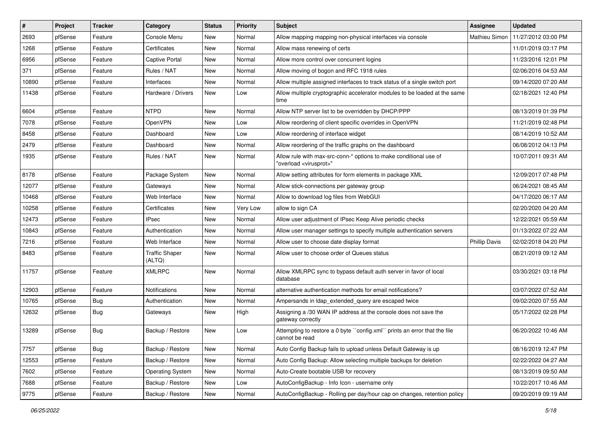| $\vert$ # | Project | <b>Tracker</b> | Category                        | <b>Status</b> | <b>Priority</b> | Subject                                                                                                 | <b>Assignee</b>      | <b>Updated</b>      |
|-----------|---------|----------------|---------------------------------|---------------|-----------------|---------------------------------------------------------------------------------------------------------|----------------------|---------------------|
| 2693      | pfSense | Feature        | Console Menu                    | New           | Normal          | Allow mapping mapping non-physical interfaces via console                                               | Mathieu Simon        | 11/27/2012 03:00 PM |
| 1268      | pfSense | Feature        | Certificates                    | New           | Normal          | Allow mass renewing of certs                                                                            |                      | 11/01/2019 03:17 PM |
| 6956      | pfSense | Feature        | Captive Portal                  | New           | Normal          | Allow more control over concurrent logins                                                               |                      | 11/23/2016 12:01 PM |
| 371       | pfSense | Feature        | Rules / NAT                     | New           | Normal          | Allow moving of bogon and RFC 1918 rules                                                                |                      | 02/06/2016 04:53 AM |
| 10890     | pfSense | Feature        | Interfaces                      | New           | Normal          | Allow multiple assigned interfaces to track status of a single switch port                              |                      | 09/14/2020 07:20 AM |
| 11438     | pfSense | Feature        | Hardware / Drivers              | New           | Low             | Allow multiple cryptographic accelerator modules to be loaded at the same<br>time                       |                      | 02/18/2021 12:40 PM |
| 6604      | pfSense | Feature        | <b>NTPD</b>                     | New           | Normal          | Allow NTP server list to be overridden by DHCP/PPP                                                      |                      | 08/13/2019 01:39 PM |
| 7078      | pfSense | Feature        | OpenVPN                         | New           | Low             | Allow reordering of client specific overrides in OpenVPN                                                |                      | 11/21/2019 02:48 PM |
| 8458      | pfSense | Feature        | Dashboard                       | New           | Low             | Allow reordering of interface widget                                                                    |                      | 08/14/2019 10:52 AM |
| 2479      | pfSense | Feature        | Dashboard                       | New           | Normal          | Allow reordering of the traffic graphs on the dashboard                                                 |                      | 06/08/2012 04:13 PM |
| 1935      | pfSense | Feature        | Rules / NAT                     | New           | Normal          | Allow rule with max-src-conn-* options to make conditional use of<br>"overload <virusprot>"</virusprot> |                      | 10/07/2011 09:31 AM |
| 8178      | pfSense | Feature        | Package System                  | New           | Normal          | Allow setting attributes for form elements in package XML                                               |                      | 12/09/2017 07:48 PM |
| 12077     | pfSense | Feature        | Gateways                        | New           | Normal          | Allow stick-connections per gateway group                                                               |                      | 06/24/2021 08:45 AM |
| 10468     | pfSense | Feature        | Web Interface                   | New           | Normal          | Allow to download log files from WebGUI                                                                 |                      | 04/17/2020 06:17 AM |
| 10258     | pfSense | Feature        | Certificates                    | New           | Very Low        | allow to sign CA                                                                                        |                      | 02/20/2020 04:20 AM |
| 12473     | pfSense | Feature        | <b>IPsec</b>                    | New           | Normal          | Allow user adjustment of IPsec Keep Alive periodic checks                                               |                      | 12/22/2021 05:59 AM |
| 10843     | pfSense | Feature        | Authentication                  | New           | Normal          | Allow user manager settings to specify multiple authentication servers                                  |                      | 01/13/2022 07:22 AM |
| 7216      | pfSense | Feature        | Web Interface                   | New           | Normal          | Allow user to choose date display format                                                                | <b>Phillip Davis</b> | 02/02/2018 04:20 PM |
| 8483      | pfSense | Feature        | <b>Traffic Shaper</b><br>(ALTQ) | New           | Normal          | Allow user to choose order of Queues status                                                             |                      | 08/21/2019 09:12 AM |
| 11757     | pfSense | Feature        | <b>XMLRPC</b>                   | New           | Normal          | Allow XMLRPC sync to bypass default auth server in favor of local<br>database                           |                      | 03/30/2021 03:18 PM |
| 12903     | pfSense | Feature        | Notifications                   | New           | Normal          | alternative authentication methods for email notifications?                                             |                      | 03/07/2022 07:52 AM |
| 10765     | pfSense | <b>Bug</b>     | Authentication                  | New           | Normal          | Ampersands in Idap_extended_query are escaped twice                                                     |                      | 09/02/2020 07:55 AM |
| 12632     | pfSense | <b>Bug</b>     | Gateways                        | New           | High            | Assigning a /30 WAN IP address at the console does not save the<br>gateway correctly                    |                      | 05/17/2022 02:28 PM |
| 13289     | pfSense | Bug            | Backup / Restore                | New           | Low             | Attempting to restore a 0 byte "config.xml" prints an error that the file<br>cannot be read             |                      | 06/20/2022 10:46 AM |
| 7757      | pfSense | <b>Bug</b>     | Backup / Restore                | New           | Normal          | Auto Config Backup fails to upload unless Default Gateway is up                                         |                      | 08/16/2019 12:47 PM |
| 12553     | pfSense | Feature        | Backup / Restore                | New           | Normal          | Auto Config Backup: Allow selecting multiple backups for deletion                                       |                      | 02/22/2022 04:27 AM |
| 7602      | pfSense | Feature        | <b>Operating System</b>         | New           | Normal          | Auto-Create bootable USB for recovery                                                                   |                      | 08/13/2019 09:50 AM |
| 7688      | pfSense | Feature        | Backup / Restore                | New           | Low             | AutoConfigBackup - Info Icon - username only                                                            |                      | 10/22/2017 10:46 AM |
| 9775      | pfSense | Feature        | Backup / Restore                | New           | Normal          | AutoConfigBackup - Rolling per day/hour cap on changes, retention policy                                |                      | 09/20/2019 09:19 AM |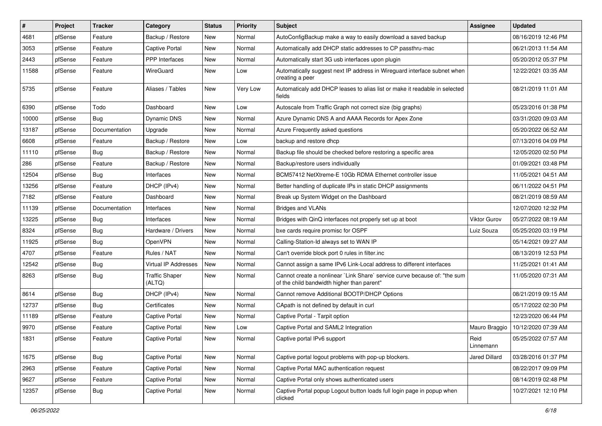| $\vert$ # | Project | <b>Tracker</b> | Category                        | <b>Status</b> | <b>Priority</b> | <b>Subject</b>                                                                                                          | Assignee          | <b>Updated</b>      |
|-----------|---------|----------------|---------------------------------|---------------|-----------------|-------------------------------------------------------------------------------------------------------------------------|-------------------|---------------------|
| 4681      | pfSense | Feature        | Backup / Restore                | New           | Normal          | AutoConfigBackup make a way to easily download a saved backup                                                           |                   | 08/16/2019 12:46 PM |
| 3053      | pfSense | Feature        | Captive Portal                  | New           | Normal          | Automatically add DHCP static addresses to CP passthru-mac                                                              |                   | 06/21/2013 11:54 AM |
| 2443      | pfSense | Feature        | <b>PPP</b> Interfaces           | New           | Normal          | Automatically start 3G usb interfaces upon plugin                                                                       |                   | 05/20/2012 05:37 PM |
| 11588     | pfSense | Feature        | WireGuard                       | New           | Low             | Automatically suggest next IP address in Wireguard interface subnet when<br>creating a peer                             |                   | 12/22/2021 03:35 AM |
| 5735      | pfSense | Feature        | Aliases / Tables                | New           | Very Low        | Automaticaly add DHCP leases to alias list or make it readable in selected<br>fields                                    |                   | 08/21/2019 11:01 AM |
| 6390      | pfSense | Todo           | Dashboard                       | <b>New</b>    | Low             | Autoscale from Traffic Graph not correct size (big graphs)                                                              |                   | 05/23/2016 01:38 PM |
| 10000     | pfSense | <b>Bug</b>     | Dynamic DNS                     | New           | Normal          | Azure Dynamic DNS A and AAAA Records for Apex Zone                                                                      |                   | 03/31/2020 09:03 AM |
| 13187     | pfSense | Documentation  | Upgrade                         | New           | Normal          | Azure Frequently asked questions                                                                                        |                   | 05/20/2022 06:52 AM |
| 6608      | pfSense | Feature        | Backup / Restore                | New           | Low             | backup and restore dhcp                                                                                                 |                   | 07/13/2016 04:09 PM |
| 11110     | pfSense | <b>Bug</b>     | Backup / Restore                | New           | Normal          | Backup file should be checked before restoring a specific area                                                          |                   | 12/05/2020 02:50 PM |
| 286       | pfSense | Feature        | Backup / Restore                | New           | Normal          | Backup/restore users individually                                                                                       |                   | 01/09/2021 03:48 PM |
| 12504     | pfSense | Bug            | Interfaces                      | New           | Normal          | BCM57412 NetXtreme-E 10Gb RDMA Ethernet controller issue                                                                |                   | 11/05/2021 04:51 AM |
| 13256     | pfSense | Feature        | DHCP (IPv4)                     | New           | Normal          | Better handling of duplicate IPs in static DHCP assignments                                                             |                   | 06/11/2022 04:51 PM |
| 7182      | pfSense | Feature        | Dashboard                       | New           | Normal          | Break up System Widget on the Dashboard                                                                                 |                   | 08/21/2019 08:59 AM |
| 11139     | pfSense | Documentation  | Interfaces                      | New           | Normal          | <b>Bridges and VLANs</b>                                                                                                |                   | 12/07/2020 12:32 PM |
| 13225     | pfSense | Bug            | Interfaces                      | New           | Normal          | Bridges with QinQ interfaces not properly set up at boot                                                                | Viktor Gurov      | 05/27/2022 08:19 AM |
| 8324      | pfSense | Bug            | Hardware / Drivers              | New           | Normal          | bxe cards require promisc for OSPF                                                                                      | Luiz Souza        | 05/25/2020 03:19 PM |
| 11925     | pfSense | <b>Bug</b>     | OpenVPN                         | New           | Normal          | Calling-Station-Id always set to WAN IP                                                                                 |                   | 05/14/2021 09:27 AM |
| 4707      | pfSense | Feature        | Rules / NAT                     | New           | Normal          | Can't override block port 0 rules in filter.inc                                                                         |                   | 08/13/2019 12:53 PM |
| 12542     | pfSense | Bug            | Virtual IP Addresses            | New           | Normal          | Cannot assign a same IPv6 Link-Local address to different interfaces                                                    |                   | 11/25/2021 01:41 AM |
| 8263      | pfSense | <b>Bug</b>     | <b>Traffic Shaper</b><br>(ALTQ) | New           | Normal          | Cannot create a nonlinear `Link Share` service curve because of: "the sum<br>of the child bandwidth higher than parent" |                   | 11/05/2020 07:31 AM |
| 8614      | pfSense | <b>Bug</b>     | DHCP (IPv4)                     | New           | Normal          | Cannot remove Additional BOOTP/DHCP Options                                                                             |                   | 08/21/2019 09:15 AM |
| 12737     | pfSense | Bug            | Certificates                    | New           | Normal          | CApath is not defined by default in curl                                                                                |                   | 05/17/2022 02:30 PM |
| 11189     | pfSense | Feature        | Captive Portal                  | New           | Normal          | Captive Portal - Tarpit option                                                                                          |                   | 12/23/2020 06:44 PM |
| 9970      | pfSense | Feature        | Captive Portal                  | New           | Low             | Captive Portal and SAML2 Integration                                                                                    | Mauro Braggio     | 10/12/2020 07:39 AM |
| 1831      | pfSense | Feature        | Captive Portal                  | New           | Normal          | Captive portal IPv6 support                                                                                             | Reid<br>Linnemann | 05/25/2022 07:57 AM |
| 1675      | pfSense | <b>Bug</b>     | Captive Portal                  | New           | Normal          | Captive portal logout problems with pop-up blockers.                                                                    | Jared Dillard     | 03/28/2016 01:37 PM |
| 2963      | pfSense | Feature        | Captive Portal                  | New           | Normal          | Captive Portal MAC authentication request                                                                               |                   | 08/22/2017 09:09 PM |
| 9627      | pfSense | Feature        | Captive Portal                  | New           | Normal          | Captive Portal only shows authenticated users                                                                           |                   | 08/14/2019 02:48 PM |
| 12357     | pfSense | <b>Bug</b>     | Captive Portal                  | New           | Normal          | Captive Portal popup Logout button loads full login page in popup when<br>clicked                                       |                   | 10/27/2021 12:10 PM |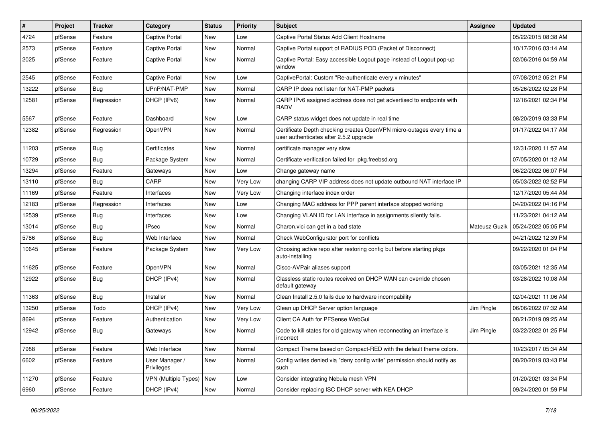| ∦     | Project | <b>Tracker</b> | Category                     | <b>Status</b> | <b>Priority</b> | <b>Subject</b>                                                                                                  | <b>Assignee</b> | <b>Updated</b>      |
|-------|---------|----------------|------------------------------|---------------|-----------------|-----------------------------------------------------------------------------------------------------------------|-----------------|---------------------|
| 4724  | pfSense | Feature        | Captive Portal               | New           | Low             | Captive Portal Status Add Client Hostname                                                                       |                 | 05/22/2015 08:38 AM |
| 2573  | pfSense | Feature        | <b>Captive Portal</b>        | New           | Normal          | Captive Portal support of RADIUS POD (Packet of Disconnect)                                                     |                 | 10/17/2016 03:14 AM |
| 2025  | pfSense | Feature        | <b>Captive Portal</b>        | New           | Normal          | Captive Portal: Easy accessible Logout page instead of Logout pop-up<br>window                                  |                 | 02/06/2016 04:59 AM |
| 2545  | pfSense | Feature        | <b>Captive Portal</b>        | New           | Low             | CaptivePortal: Custom "Re-authenticate every x minutes"                                                         |                 | 07/08/2012 05:21 PM |
| 13222 | pfSense | Bug            | UPnP/NAT-PMP                 | New           | Normal          | CARP IP does not listen for NAT-PMP packets                                                                     |                 | 05/26/2022 02:28 PM |
| 12581 | pfSense | Regression     | DHCP (IPv6)                  | New           | Normal          | CARP IPv6 assigned address does not get advertised to endpoints with<br><b>RADV</b>                             |                 | 12/16/2021 02:34 PM |
| 5567  | pfSense | Feature        | Dashboard                    | New           | Low             | CARP status widget does not update in real time                                                                 |                 | 08/20/2019 03:33 PM |
| 12382 | pfSense | Regression     | OpenVPN                      | New           | Normal          | Certificate Depth checking creates OpenVPN micro-outages every time a<br>user authenticates after 2.5.2 upgrade |                 | 01/17/2022 04:17 AM |
| 11203 | pfSense | Bug            | Certificates                 | New           | Normal          | certificate manager very slow                                                                                   |                 | 12/31/2020 11:57 AM |
| 10729 | pfSense | Bug            | Package System               | New           | Normal          | Certificate verification failed for pkg.freebsd.org                                                             |                 | 07/05/2020 01:12 AM |
| 13294 | pfSense | Feature        | Gateways                     | New           | Low             | Change gateway name                                                                                             |                 | 06/22/2022 06:07 PM |
| 13110 | pfSense | Bug            | CARP                         | New           | Very Low        | changing CARP VIP address does not update outbound NAT interface IP                                             |                 | 05/03/2022 02:52 PM |
| 11169 | pfSense | Feature        | Interfaces                   | New           | Verv Low        | Changing interface index order                                                                                  |                 | 12/17/2020 05:44 AM |
| 12183 | pfSense | Regression     | Interfaces                   | New           | Low             | Changing MAC address for PPP parent interface stopped working                                                   |                 | 04/20/2022 04:16 PM |
| 12539 | pfSense | Bug            | Interfaces                   | New           | Low             | Changing VLAN ID for LAN interface in assignments silently fails.                                               |                 | 11/23/2021 04:12 AM |
| 13014 | pfSense | Bug            | <b>IPsec</b>                 | New           | Normal          | Charon.vici can get in a bad state                                                                              | Mateusz Guzik   | 05/24/2022 05:05 PM |
| 5786  | pfSense | Bug            | Web Interface                | New           | Normal          | Check WebConfigurator port for conflicts                                                                        |                 | 04/21/2022 12:39 PM |
| 10645 | pfSense | Feature        | Package System               | <b>New</b>    | Very Low        | Choosing active repo after restoring config but before starting pkgs<br>auto-installing                         |                 | 09/22/2020 01:04 PM |
| 11625 | pfSense | Feature        | OpenVPN                      | New           | Normal          | Cisco-AVPair aliases support                                                                                    |                 | 03/05/2021 12:35 AM |
| 12922 | pfSense | <b>Bug</b>     | DHCP (IPv4)                  | New           | Normal          | Classless static routes received on DHCP WAN can override chosen<br>default gateway                             |                 | 03/28/2022 10:08 AM |
| 11363 | pfSense | Bug            | Installer                    | <b>New</b>    | Normal          | Clean Install 2.5.0 fails due to hardware incompability                                                         |                 | 02/04/2021 11:06 AM |
| 13250 | pfSense | Todo           | DHCP (IPv4)                  | New           | Very Low        | Clean up DHCP Server option language                                                                            | Jim Pingle      | 06/06/2022 07:32 AM |
| 8694  | pfSense | Feature        | Authentication               | New           | Very Low        | Client CA Auth for PFSense WebGui                                                                               |                 | 08/21/2019 09:25 AM |
| 12942 | pfSense | <b>Bug</b>     | Gateways                     | New           | Normal          | Code to kill states for old gateway when reconnecting an interface is<br>incorrect                              | Jim Pingle      | 03/22/2022 01:25 PM |
| 7988  | pfSense | Feature        | Web Interface                | New           | Normal          | Compact Theme based on Compact-RED with the default theme colors.                                               |                 | 10/23/2017 05:34 AM |
| 6602  | pfSense | Feature        | User Manager /<br>Privileges | New           | Normal          | Config writes denied via "deny config write" permission should notify as<br>such                                |                 | 08/20/2019 03:43 PM |
| 11270 | pfSense | Feature        | <b>VPN (Multiple Types)</b>  | New           | Low             | Consider integrating Nebula mesh VPN                                                                            |                 | 01/20/2021 03:34 PM |
| 6960  | pfSense | Feature        | DHCP (IPv4)                  | New           | Normal          | Consider replacing ISC DHCP server with KEA DHCP                                                                |                 | 09/24/2020 01:59 PM |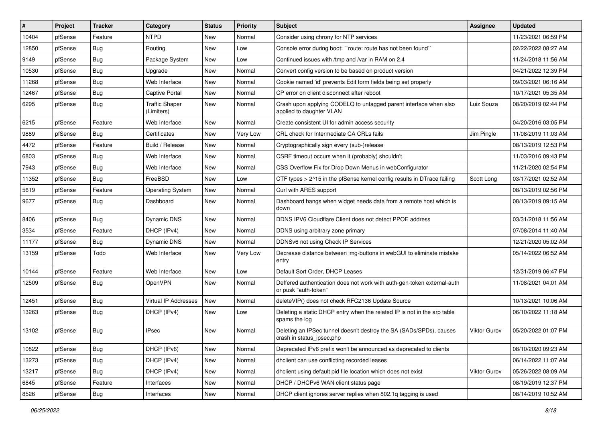| #     | Project | <b>Tracker</b> | Category                            | <b>Status</b> | Priority | Subject                                                                                          | Assignee     | <b>Updated</b>      |
|-------|---------|----------------|-------------------------------------|---------------|----------|--------------------------------------------------------------------------------------------------|--------------|---------------------|
| 10404 | pfSense | Feature        | <b>NTPD</b>                         | New           | Normal   | Consider using chrony for NTP services                                                           |              | 11/23/2021 06:59 PM |
| 12850 | pfSense | Bug            | Routing                             | New           | Low      | Console error during boot: "route: route has not been found"                                     |              | 02/22/2022 08:27 AM |
| 9149  | pfSense | <b>Bug</b>     | Package System                      | New           | Low      | Continued issues with /tmp and /var in RAM on 2.4                                                |              | 11/24/2018 11:56 AM |
| 10530 | pfSense | <b>Bug</b>     | Upgrade                             | New           | Normal   | Convert config version to be based on product version                                            |              | 04/21/2022 12:39 PM |
| 11268 | pfSense | <b>Bug</b>     | Web Interface                       | <b>New</b>    | Normal   | Cookie named 'id' prevents Edit form fields being set properly                                   |              | 09/03/2021 06:16 AM |
| 12467 | pfSense | <b>Bug</b>     | Captive Portal                      | New           | Normal   | CP error on client disconnect after reboot                                                       |              | 10/17/2021 05:35 AM |
| 6295  | pfSense | <b>Bug</b>     | <b>Traffic Shaper</b><br>(Limiters) | New           | Normal   | Crash upon applying CODELQ to untagged parent interface when also<br>applied to daughter VLAN    | Luiz Souza   | 08/20/2019 02:44 PM |
| 6215  | pfSense | Feature        | Web Interface                       | <b>New</b>    | Normal   | Create consistent UI for admin access security                                                   |              | 04/20/2016 03:05 PM |
| 9889  | pfSense | <b>Bug</b>     | Certificates                        | New           | Very Low | CRL check for Intermediate CA CRLs fails                                                         | Jim Pingle   | 11/08/2019 11:03 AM |
| 4472  | pfSense | Feature        | Build / Release                     | New           | Normal   | Cryptographically sign every (sub-)release                                                       |              | 08/13/2019 12:53 PM |
| 6803  | pfSense | <b>Bug</b>     | Web Interface                       | New           | Normal   | CSRF timeout occurs when it (probably) shouldn't                                                 |              | 11/03/2016 09:43 PM |
| 7943  | pfSense | <b>Bug</b>     | Web Interface                       | New           | Normal   | CSS Overflow Fix for Drop Down Menus in webConfigurator                                          |              | 11/21/2020 02:54 PM |
| 11352 | pfSense | <b>Bug</b>     | FreeBSD                             | New           | Low      | CTF types > 2^15 in the pfSense kernel config results in DTrace failing                          | Scott Long   | 03/17/2021 02:52 AM |
| 5619  | pfSense | Feature        | <b>Operating System</b>             | New           | Normal   | Curl with ARES support                                                                           |              | 08/13/2019 02:56 PM |
| 9677  | pfSense | Bug            | Dashboard                           | New           | Normal   | Dashboard hangs when widget needs data from a remote host which is<br>down                       |              | 08/13/2019 09:15 AM |
| 8406  | pfSense | <b>Bug</b>     | <b>Dynamic DNS</b>                  | <b>New</b>    | Normal   | DDNS IPV6 Cloudflare Client does not detect PPOE address                                         |              | 03/31/2018 11:56 AM |
| 3534  | pfSense | Feature        | DHCP (IPv4)                         | New           | Normal   | DDNS using arbitrary zone primary                                                                |              | 07/08/2014 11:40 AM |
| 11177 | pfSense | <b>Bug</b>     | Dynamic DNS                         | New           | Normal   | DDNSv6 not using Check IP Services                                                               |              | 12/21/2020 05:02 AM |
| 13159 | pfSense | Todo           | Web Interface                       | <b>New</b>    | Very Low | Decrease distance between img-buttons in webGUI to eliminate mistake<br>entry                    |              | 05/14/2022 06:52 AM |
| 10144 | pfSense | Feature        | Web Interface                       | <b>New</b>    | Low      | Default Sort Order, DHCP Leases                                                                  |              | 12/31/2019 06:47 PM |
| 12509 | pfSense | <b>Bug</b>     | OpenVPN                             | New           | Normal   | Deffered authentication does not work with auth-gen-token external-auth<br>or pusk "auth-token"  |              | 11/08/2021 04:01 AM |
| 12451 | pfSense | Bug            | Virtual IP Addresses                | <b>New</b>    | Normal   | deleteVIP() does not check RFC2136 Update Source                                                 |              | 10/13/2021 10:06 AM |
| 13263 | pfSense | Bug            | DHCP (IPv4)                         | New           | Low      | Deleting a static DHCP entry when the related IP is not in the arp table<br>spams the log        |              | 06/10/2022 11:18 AM |
| 13102 | pfSense | <b>Bug</b>     | <b>IPsec</b>                        | <b>New</b>    | Normal   | Deleting an IPSec tunnel doesn't destroy the SA (SADs/SPDs), causes<br>crash in status_ipsec.php | Viktor Gurov | 05/20/2022 01:07 PM |
| 10822 | pfSense | Bug            | DHCP (IPv6)                         | New           | Normal   | Deprecated IPv6 prefix won't be announced as deprecated to clients                               |              | 08/10/2020 09:23 AM |
| 13273 | pfSense | Bug            | DHCP (IPv4)                         | New           | Normal   | dhclient can use conflicting recorded leases                                                     |              | 06/14/2022 11:07 AM |
| 13217 | pfSense | <b>Bug</b>     | DHCP (IPv4)                         | <b>New</b>    | Normal   | dhclient using default pid file location which does not exist                                    | Viktor Gurov | 05/26/2022 08:09 AM |
| 6845  | pfSense | Feature        | Interfaces                          | New           | Normal   | DHCP / DHCPv6 WAN client status page                                                             |              | 08/19/2019 12:37 PM |
| 8526  | pfSense | Bug            | Interfaces                          | New           | Normal   | DHCP client ignores server replies when 802.1q tagging is used                                   |              | 08/14/2019 10:52 AM |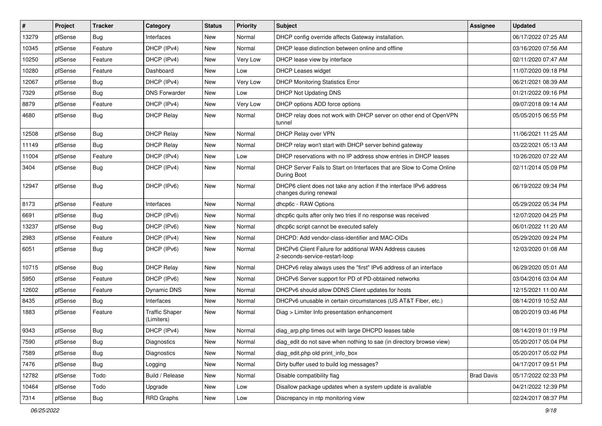| #     | Project | <b>Tracker</b> | Category                            | <b>Status</b> | <b>Priority</b> | <b>Subject</b>                                                                                | Assignee          | <b>Updated</b>      |
|-------|---------|----------------|-------------------------------------|---------------|-----------------|-----------------------------------------------------------------------------------------------|-------------------|---------------------|
| 13279 | pfSense | <b>Bug</b>     | Interfaces                          | New           | Normal          | DHCP config override affects Gateway installation.                                            |                   | 06/17/2022 07:25 AM |
| 10345 | pfSense | Feature        | DHCP (IPv4)                         | <b>New</b>    | Normal          | DHCP lease distinction between online and offline                                             |                   | 03/16/2020 07:56 AM |
| 10250 | pfSense | Feature        | DHCP (IPv4)                         | New           | Very Low        | DHCP lease view by interface                                                                  |                   | 02/11/2020 07:47 AM |
| 10280 | pfSense | Feature        | Dashboard                           | New           | Low             | <b>DHCP Leases widget</b>                                                                     |                   | 11/07/2020 09:18 PM |
| 12067 | pfSense | Bug            | DHCP (IPv4)                         | New           | Very Low        | <b>DHCP Monitoring Statistics Error</b>                                                       |                   | 06/21/2021 08:39 AM |
| 7329  | pfSense | Bug            | <b>DNS Forwarder</b>                | New           | Low             | <b>DHCP Not Updating DNS</b>                                                                  |                   | 01/21/2022 09:16 PM |
| 8879  | pfSense | Feature        | DHCP (IPv4)                         | New           | Very Low        | DHCP options ADD force options                                                                |                   | 09/07/2018 09:14 AM |
| 4680  | pfSense | Bug            | <b>DHCP Relay</b>                   | <b>New</b>    | Normal          | DHCP relay does not work with DHCP server on other end of OpenVPN<br>tunnel                   |                   | 05/05/2015 06:55 PM |
| 12508 | pfSense | Bug            | <b>DHCP Relay</b>                   | <b>New</b>    | Normal          | DHCP Relay over VPN                                                                           |                   | 11/06/2021 11:25 AM |
| 11149 | pfSense | Bug            | <b>DHCP Relay</b>                   | New           | Normal          | DHCP relay won't start with DHCP server behind gateway                                        |                   | 03/22/2021 05:13 AM |
| 11004 | pfSense | Feature        | DHCP (IPv4)                         | <b>New</b>    | Low             | DHCP reservations with no IP address show entries in DHCP leases                              |                   | 10/26/2020 07:22 AM |
| 3404  | pfSense | Bug            | DHCP (IPv4)                         | <b>New</b>    | Normal          | DHCP Server Fails to Start on Interfaces that are Slow to Come Online<br>During Boot          |                   | 02/11/2014 05:09 PM |
| 12947 | pfSense | Bug            | DHCP (IPv6)                         | New           | Normal          | DHCP6 client does not take any action if the interface IPv6 address<br>changes during renewal |                   | 06/19/2022 09:34 PM |
| 8173  | pfSense | Feature        | Interfaces                          | New           | Normal          | dhcp6c - RAW Options                                                                          |                   | 05/29/2022 05:34 PM |
| 6691  | pfSense | Bug            | DHCP (IPv6)                         | New           | Normal          | dhcp6c quits after only two tries if no response was received                                 |                   | 12/07/2020 04:25 PM |
| 13237 | pfSense | Bug            | DHCP (IPv6)                         | New           | Normal          | dhcp6c script cannot be executed safely                                                       |                   | 06/01/2022 11:20 AM |
| 2983  | pfSense | Feature        | DHCP (IPv4)                         | New           | Normal          | DHCPD: Add vendor-class-identifier and MAC-OIDs                                               |                   | 05/29/2020 09:24 PM |
| 6051  | pfSense | <b>Bug</b>     | DHCP (IPv6)                         | <b>New</b>    | Normal          | DHCPv6 Client Failure for additional WAN Address causes<br>2-seconds-service-restart-loop     |                   | 12/03/2020 01:08 AM |
| 10715 | pfSense | Bug            | <b>DHCP Relay</b>                   | New           | Normal          | DHCPv6 relay always uses the "first" IPv6 address of an interface                             |                   | 06/29/2020 05:01 AM |
| 5950  | pfSense | Feature        | DHCP (IPv6)                         | <b>New</b>    | Normal          | DHCPv6 Server support for PD of PD-obtained networks                                          |                   | 03/04/2016 03:04 AM |
| 12602 | pfSense | Feature        | Dynamic DNS                         | New           | Normal          | DHCPv6 should allow DDNS Client updates for hosts                                             |                   | 12/15/2021 11:00 AM |
| 8435  | pfSense | Bug            | Interfaces                          | New           | Normal          | DHCPv6 unusable in certain circumstances (US AT&T Fiber, etc.)                                |                   | 08/14/2019 10:52 AM |
| 1883  | pfSense | Feature        | <b>Traffic Shaper</b><br>(Limiters) | New           | Normal          | Diag > Limiter Info presentation enhancement                                                  |                   | 08/20/2019 03:46 PM |
| 9343  | pfSense | Bug            | DHCP (IPv4)                         | <b>New</b>    | Normal          | diag_arp.php times out with large DHCPD leases table                                          |                   | 08/14/2019 01:19 PM |
| 7590  | pfSense | Bug            | <b>Diagnostics</b>                  | New           | Normal          | diag edit do not save when nothing to sae (in directory browse view)                          |                   | 05/20/2017 05:04 PM |
| 7589  | pfSense | <b>Bug</b>     | Diagnostics                         | New           | Normal          | diag_edit.php old print_info_box                                                              |                   | 05/20/2017 05:02 PM |
| 7476  | pfSense | <b>Bug</b>     | Logging                             | New           | Normal          | Dirty buffer used to build log messages?                                                      |                   | 04/17/2017 09:51 PM |
| 12782 | pfSense | Todo           | Build / Release                     | New           | Normal          | Disable compatibility flag                                                                    | <b>Brad Davis</b> | 05/17/2022 02:33 PM |
| 10464 | pfSense | Todo           | Upgrade                             | New           | Low             | Disallow package updates when a system update is available                                    |                   | 04/21/2022 12:39 PM |
| 7314  | pfSense | <b>Bug</b>     | RRD Graphs                          | New           | Low             | Discrepancy in ntp monitoring view                                                            |                   | 02/24/2017 08:37 PM |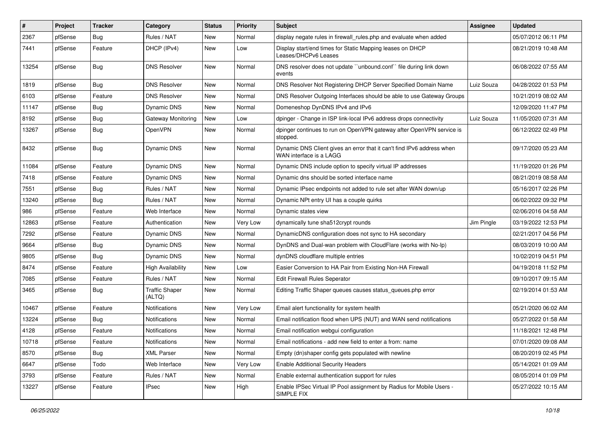| $\vert$ # | Project | <b>Tracker</b> | Category                        | <b>Status</b> | <b>Priority</b> | <b>Subject</b>                                                                                    | Assignee   | <b>Updated</b>      |
|-----------|---------|----------------|---------------------------------|---------------|-----------------|---------------------------------------------------------------------------------------------------|------------|---------------------|
| 2367      | pfSense | <b>Bug</b>     | Rules / NAT                     | New           | Normal          | display negate rules in firewall rules php and evaluate when added                                |            | 05/07/2012 06:11 PM |
| 7441      | pfSense | Feature        | DHCP (IPv4)                     | New           | Low             | Display start/end times for Static Mapping leases on DHCP<br>Leases/DHCPv6 Leases                 |            | 08/21/2019 10:48 AM |
| 13254     | pfSense | Bug            | <b>DNS Resolver</b>             | New           | Normal          | DNS resolver does not update "unbound.conf" file during link down<br>events                       |            | 06/08/2022 07:55 AM |
| 1819      | pfSense | Bug            | <b>DNS Resolver</b>             | New           | Normal          | DNS Resolver Not Registering DHCP Server Specified Domain Name                                    | Luiz Souza | 04/28/2022 01:53 PM |
| 6103      | pfSense | Feature        | <b>DNS Resolver</b>             | New           | Normal          | DNS Resolver Outgoing Interfaces should be able to use Gateway Groups                             |            | 10/21/2019 08:02 AM |
| 11147     | pfSense | Bug            | <b>Dynamic DNS</b>              | <b>New</b>    | Normal          | Domeneshop DynDNS IPv4 and IPv6                                                                   |            | 12/09/2020 11:47 PM |
| 8192      | pfSense | Bug            | Gateway Monitoring              | New           | Low             | dpinger - Change in ISP link-local IPv6 address drops connectivity                                | Luiz Souza | 11/05/2020 07:31 AM |
| 13267     | pfSense | <b>Bug</b>     | OpenVPN                         | New           | Normal          | dpinger continues to run on OpenVPN gateway after OpenVPN service is<br>stopped.                  |            | 06/12/2022 02:49 PM |
| 8432      | pfSense | Bug            | <b>Dynamic DNS</b>              | New           | Normal          | Dynamic DNS Client gives an error that it can't find IPv6 address when<br>WAN interface is a LAGG |            | 09/17/2020 05:23 AM |
| 11084     | pfSense | Feature        | Dynamic DNS                     | New           | Normal          | Dynamic DNS include option to specify virtual IP addresses                                        |            | 11/19/2020 01:26 PM |
| 7418      | pfSense | Feature        | <b>Dynamic DNS</b>              | New           | Normal          | Dynamic dns should be sorted interface name                                                       |            | 08/21/2019 08:58 AM |
| 7551      | pfSense | Bug            | Rules / NAT                     | New           | Normal          | Dynamic IPsec endpoints not added to rule set after WAN down/up                                   |            | 05/16/2017 02:26 PM |
| 13240     | pfSense | Bug            | Rules / NAT                     | New           | Normal          | Dynamic NPt entry UI has a couple quirks                                                          |            | 06/02/2022 09:32 PM |
| 986       | pfSense | Feature        | Web Interface                   | New           | Normal          | Dynamic states view                                                                               |            | 02/06/2016 04:58 AM |
| 12863     | pfSense | Feature        | Authentication                  | New           | Very Low        | dynamically tune sha512crypt rounds                                                               | Jim Pingle | 03/19/2022 12:53 PM |
| 7292      | pfSense | Feature        | Dynamic DNS                     | New           | Normal          | DynamicDNS configuration does not sync to HA secondary                                            |            | 02/21/2017 04:56 PM |
| 9664      | pfSense | Bug            | <b>Dynamic DNS</b>              | <b>New</b>    | Normal          | DynDNS and Dual-wan problem with CloudFlare (works with No-Ip)                                    |            | 08/03/2019 10:00 AM |
| 9805      | pfSense | Bug            | Dynamic DNS                     | New           | Normal          | dynDNS cloudflare multiple entries                                                                |            | 10/02/2019 04:51 PM |
| 8474      | pfSense | Feature        | <b>High Availability</b>        | New           | Low             | Easier Conversion to HA Pair from Existing Non-HA Firewall                                        |            | 04/19/2018 11:52 PM |
| 7085      | pfSense | Feature        | Rules / NAT                     | New           | Normal          | Edit Firewall Rules Seperator                                                                     |            | 09/10/2017 09:15 AM |
| 3465      | pfSense | <b>Bug</b>     | <b>Traffic Shaper</b><br>(ALTQ) | New           | Normal          | Editing Traffic Shaper queues causes status_queues.php error                                      |            | 02/19/2014 01:53 AM |
| 10467     | pfSense | Feature        | <b>Notifications</b>            | New           | Very Low        | Email alert functionality for system health                                                       |            | 05/21/2020 06:02 AM |
| 13224     | pfSense | Bug            | <b>Notifications</b>            | New           | Normal          | Email notification flood when UPS (NUT) and WAN send notifications                                |            | 05/27/2022 01:58 AM |
| 4128      | pfSense | Feature        | Notifications                   | <b>New</b>    | Normal          | Email notification webgui configuration                                                           |            | 11/18/2021 12:48 PM |
| 10718     | pfSense | Feature        | Notifications                   | New           | Normal          | Email notifications - add new field to enter a from: name                                         |            | 07/01/2020 09:08 AM |
| 8570      | pfSense | Bug            | <b>XML Parser</b>               | New           | Normal          | Empty (dn)shaper config gets populated with newline                                               |            | 08/20/2019 02:45 PM |
| 6647      | pfSense | Todo           | Web Interface                   | New           | Very Low        | <b>Enable Additional Security Headers</b>                                                         |            | 05/14/2021 01:09 AM |
| 3793      | pfSense | Feature        | Rules / NAT                     | New           | Normal          | Enable external authentication support for rules                                                  |            | 08/05/2014 01:09 PM |
| 13227     | pfSense | Feature        | <b>IPsec</b>                    | New           | High            | Enable IPSec Virtual IP Pool assignment by Radius for Mobile Users -<br>SIMPLE FIX                |            | 05/27/2022 10:15 AM |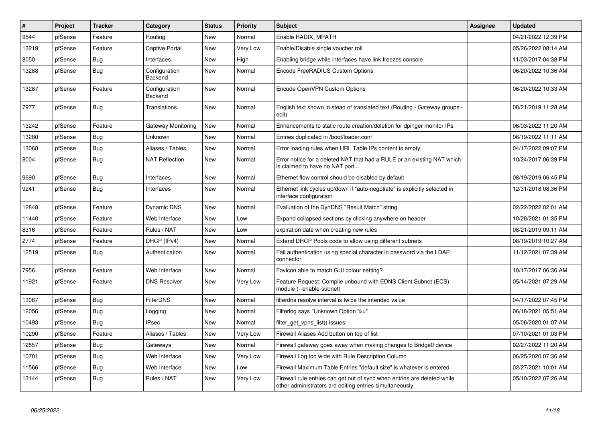| $\sharp$ | Project | <b>Tracker</b> | Category                 | <b>Status</b> | <b>Priority</b> | <b>Subject</b>                                                                                                                      | <b>Assignee</b> | <b>Updated</b>      |
|----------|---------|----------------|--------------------------|---------------|-----------------|-------------------------------------------------------------------------------------------------------------------------------------|-----------------|---------------------|
| 9544     | pfSense | Feature        | Routina                  | <b>New</b>    | Normal          | Enable RADIX MPATH                                                                                                                  |                 | 04/21/2022 12:39 PM |
| 13219    | pfSense | Feature        | Captive Portal           | <b>New</b>    | Very Low        | Enable/Disable single voucher roll                                                                                                  |                 | 05/26/2022 08:14 AM |
| 8050     | pfSense | <b>Bug</b>     | Interfaces               | New           | High            | Enabling bridge while interfaces have link freezes console                                                                          |                 | 11/03/2017 04:38 PM |
| 13288    | pfSense | Bug            | Configuration<br>Backend | <b>New</b>    | Normal          | Encode FreeRADIUS Custom Options                                                                                                    |                 | 06/20/2022 10:36 AM |
| 13287    | pfSense | Feature        | Configuration<br>Backend | <b>New</b>    | Normal          | Encode OpenVPN Custom Options                                                                                                       |                 | 06/20/2022 10:33 AM |
| 7977     | pfSense | <b>Bug</b>     | Translations             | <b>New</b>    | Normal          | English text shown in stead of translated text (Routing - Gateway groups -<br>edit)                                                 |                 | 08/21/2019 11:28 AM |
| 13242    | pfSense | Feature        | Gateway Monitoring       | <b>New</b>    | Normal          | Enhancements to static route creation/deletion for dpinger monitor IPs                                                              |                 | 06/03/2022 11:20 AM |
| 13280    | pfSense | <b>Bug</b>     | Unknown                  | <b>New</b>    | Normal          | Entries duplicated in /boot/loader.conf                                                                                             |                 | 06/19/2022 11:11 AM |
| 13068    | pfSense | Bug            | Aliases / Tables         | New           | Normal          | Error loading rules when URL Table IPs content is empty                                                                             |                 | 04/17/2022 09:07 PM |
| 8004     | pfSense | <b>Bug</b>     | <b>NAT Reflection</b>    | <b>New</b>    | Normal          | Error notice for a deleted NAT that had a RULE or an existing NAT which<br>is claimed to have no NAT port                           |                 | 10/24/2017 06:39 PM |
| 9690     | pfSense | <b>Bug</b>     | Interfaces               | New           | Normal          | Ethernet flow control should be disabled by default                                                                                 |                 | 08/19/2019 06:45 PM |
| 9241     | pfSense | <b>Bug</b>     | Interfaces               | <b>New</b>    | Normal          | Ethernet link cycles up/down if "auto-negotiate" is explicitly selected in<br>interface configuration                               |                 | 12/31/2018 08:36 PM |
| 12848    | pfSense | Feature        | Dynamic DNS              | <b>New</b>    | Normal          | Evaluation of the DynDNS "Result Match" string                                                                                      |                 | 02/22/2022 02:01 AM |
| 11440    | pfSense | Feature        | Web Interface            | <b>New</b>    | Low             | Expand collapsed sections by clicking anywhere on header                                                                            |                 | 10/28/2021 01:35 PM |
| 8316     | pfSense | Feature        | Rules / NAT              | <b>New</b>    | Low             | expiration date when creating new rules                                                                                             |                 | 08/21/2019 09:11 AM |
| 2774     | pfSense | Feature        | DHCP (IPv4)              | <b>New</b>    | Normal          | Extend DHCP Pools code to allow using different subnets                                                                             |                 | 08/19/2019 10:27 AM |
| 12519    | pfSense | <b>Bug</b>     | Authentication           | New           | Normal          | Fail authentication using special character in password via the LDAP<br>connector                                                   |                 | 11/12/2021 07:39 AM |
| 7956     | pfSense | Feature        | Web Interface            | New           | Normal          | Favicon able to match GUI colour setting?                                                                                           |                 | 10/17/2017 06:36 AM |
| 11921    | pfSense | Feature        | <b>DNS Resolver</b>      | <b>New</b>    | Very Low        | Feature Request: Compile unbound with EDNS Client Subnet (ECS)<br>module (--enable-subnet)                                          |                 | 05/14/2021 07:29 AM |
| 13067    | pfSense | <b>Bug</b>     | <b>FilterDNS</b>         | <b>New</b>    | Normal          | filterdns resolve interval is twice the intended value                                                                              |                 | 04/17/2022 07:45 PM |
| 12056    | pfSense | Bug            | Logging                  | <b>New</b>    | Normal          | Filterlog says "Unknown Option %u"                                                                                                  |                 | 06/18/2021 05:51 AM |
| 10493    | pfSense | <b>Bug</b>     | <b>IPsec</b>             | <b>New</b>    | Normal          | filter get vpns list() issues                                                                                                       |                 | 05/06/2020 01:07 AM |
| 10290    | pfSense | Feature        | Aliases / Tables         | <b>New</b>    | Very Low        | Firewall Aliases Add button on top of list                                                                                          |                 | 07/10/2021 01:03 PM |
| 12857    | pfSense | Bug            | Gateways                 | <b>New</b>    | Normal          | Firewall gateway goes away when making changes to Bridge0 device                                                                    |                 | 02/27/2022 11:20 AM |
| 10701    | pfSense | <b>Bug</b>     | Web Interface            | <b>New</b>    | Very Low        | Firewall Log too wide with Rule Description Column                                                                                  |                 | 06/25/2020 07:36 AM |
| 11566    | pfSense | <b>Bug</b>     | Web Interface            | <b>New</b>    | Low             | Firewall Maximum Table Entries "default size" is whatever is entered                                                                |                 | 02/27/2021 10:01 AM |
| 13144    | pfSense | Bug            | Rules / NAT              | <b>New</b>    | Very Low        | Firewall rule entries can get out of sync when entries are deleted while<br>other administrators are editing entries simultaneously |                 | 05/10/2022 07:26 AM |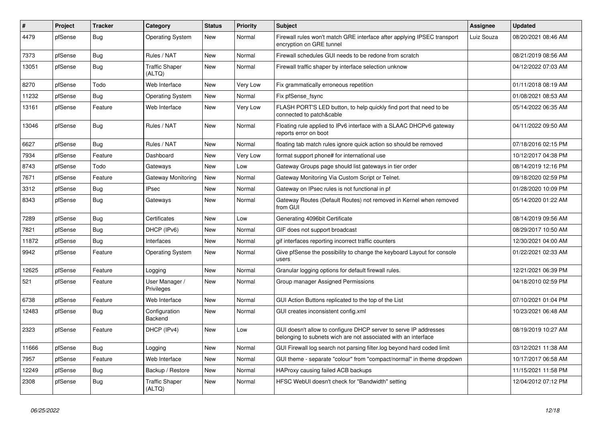| #     | Project | <b>Tracker</b> | Category                        | <b>Status</b> | <b>Priority</b> | <b>Subject</b>                                                                                                                     | <b>Assignee</b> | <b>Updated</b>      |
|-------|---------|----------------|---------------------------------|---------------|-----------------|------------------------------------------------------------------------------------------------------------------------------------|-----------------|---------------------|
| 4479  | pfSense | <b>Bug</b>     | <b>Operating System</b>         | <b>New</b>    | Normal          | Firewall rules won't match GRE interface after applying IPSEC transport<br>encryption on GRE tunnel                                | Luiz Souza      | 08/20/2021 08:46 AM |
| 7373  | pfSense | <b>Bug</b>     | Rules / NAT                     | <b>New</b>    | Normal          | Firewall schedules GUI needs to be redone from scratch                                                                             |                 | 08/21/2019 08:56 AM |
| 13051 | pfSense | Bug            | <b>Traffic Shaper</b><br>(ALTQ) | <b>New</b>    | Normal          | Firewall traffic shaper by interface selection unknow                                                                              |                 | 04/12/2022 07:03 AM |
| 8270  | pfSense | Todo           | Web Interface                   | <b>New</b>    | Very Low        | Fix grammatically erroneous repetition                                                                                             |                 | 01/11/2018 08:19 AM |
| 11232 | pfSense | Bug            | <b>Operating System</b>         | <b>New</b>    | Normal          | Fix pfSense_fsync                                                                                                                  |                 | 01/08/2021 08:53 AM |
| 13161 | pfSense | Feature        | Web Interface                   | <b>New</b>    | Very Low        | FLASH PORT'S LED button, to help quickly find port that need to be<br>connected to patch&cable                                     |                 | 05/14/2022 06:35 AM |
| 13046 | pfSense | <b>Bug</b>     | Rules / NAT                     | <b>New</b>    | Normal          | Floating rule applied to IPv6 interface with a SLAAC DHCPv6 gateway<br>reports error on boot                                       |                 | 04/11/2022 09:50 AM |
| 6627  | pfSense | Bug            | Rules / NAT                     | <b>New</b>    | Normal          | floating tab match rules ignore quick action so should be removed                                                                  |                 | 07/18/2016 02:15 PM |
| 7934  | pfSense | Feature        | Dashboard                       | <b>New</b>    | Very Low        | format support phone# for international use                                                                                        |                 | 10/12/2017 04:38 PM |
| 8743  | pfSense | Todo           | Gateways                        | <b>New</b>    | Low             | Gateway Groups page should list gateways in tier order                                                                             |                 | 08/14/2019 12:16 PM |
| 7671  | pfSense | Feature        | Gateway Monitoring              | <b>New</b>    | Normal          | Gateway Monitoring Via Custom Script or Telnet.                                                                                    |                 | 09/18/2020 02:59 PM |
| 3312  | pfSense | Bug            | <b>IPsec</b>                    | <b>New</b>    | Normal          | Gateway on IPsec rules is not functional in pf                                                                                     |                 | 01/28/2020 10:09 PM |
| 8343  | pfSense | <b>Bug</b>     | Gateways                        | <b>New</b>    | Normal          | Gateway Routes (Default Routes) not removed in Kernel when removed<br>from GUI                                                     |                 | 05/14/2020 01:22 AM |
| 7289  | pfSense | <b>Bug</b>     | Certificates                    | <b>New</b>    | Low             | Generating 4096bit Certificate                                                                                                     |                 | 08/14/2019 09:56 AM |
| 7821  | pfSense | <b>Bug</b>     | DHCP (IPv6)                     | <b>New</b>    | Normal          | GIF does not support broadcast                                                                                                     |                 | 08/29/2017 10:50 AM |
| 11872 | pfSense | <b>Bug</b>     | Interfaces                      | <b>New</b>    | Normal          | gif interfaces reporting incorrect traffic counters                                                                                |                 | 12/30/2021 04:00 AM |
| 9942  | pfSense | Feature        | Operating System                | <b>New</b>    | Normal          | Give pfSense the possibility to change the keyboard Layout for console<br>users                                                    |                 | 01/22/2021 02:33 AM |
| 12625 | pfSense | Feature        | Logging                         | <b>New</b>    | Normal          | Granular logging options for default firewall rules.                                                                               |                 | 12/21/2021 06:39 PM |
| 521   | pfSense | Feature        | User Manager /<br>Privileges    | <b>New</b>    | Normal          | Group manager Assigned Permissions                                                                                                 |                 | 04/18/2010 02:59 PM |
| 6738  | pfSense | Feature        | Web Interface                   | <b>New</b>    | Normal          | GUI Action Buttons replicated to the top of the List                                                                               |                 | 07/10/2021 01:04 PM |
| 12483 | pfSense | <b>Bug</b>     | Configuration<br>Backend        | <b>New</b>    | Normal          | GUI creates inconsistent config.xml                                                                                                |                 | 10/23/2021 06:48 AM |
| 2323  | pfSense | Feature        | DHCP (IPv4)                     | New           | Low             | GUI doesn't allow to configure DHCP server to serve IP addresses<br>belonging to subnets wich are not associated with an interface |                 | 08/19/2019 10:27 AM |
| 11666 | pfSense | <b>Bug</b>     | Logging                         | New           | Normal          | GUI Firewall log search not parsing filter.log beyond hard coded limit                                                             |                 | 03/12/2021 11:38 AM |
| 7957  | pfSense | Feature        | Web Interface                   | <b>New</b>    | Normal          | GUI theme - separate "colour" from "compact/normal" in theme dropdown                                                              |                 | 10/17/2017 06:58 AM |
| 12249 | pfSense | Bug            | Backup / Restore                | New           | Normal          | HAProxy causing failed ACB backups                                                                                                 |                 | 11/15/2021 11:58 PM |
| 2308  | pfSense | <b>Bug</b>     | <b>Traffic Shaper</b><br>(ALTQ) | <b>New</b>    | Normal          | HFSC WebUI doesn't check for "Bandwidth" setting                                                                                   |                 | 12/04/2012 07:12 PM |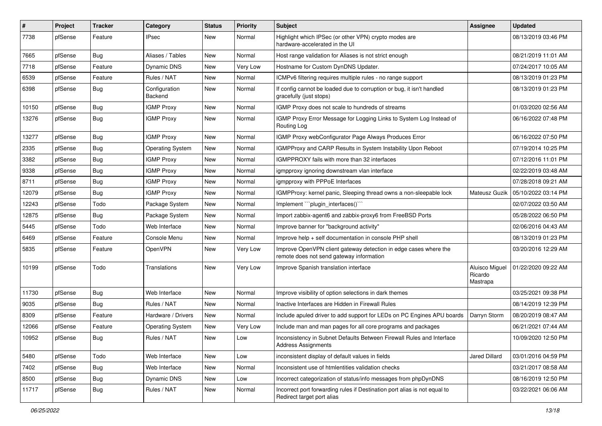| $\#$  | Project | <b>Tracker</b> | Category                 | <b>Status</b> | <b>Priority</b> | Subject                                                                                                      | Assignee                              | <b>Updated</b>      |
|-------|---------|----------------|--------------------------|---------------|-----------------|--------------------------------------------------------------------------------------------------------------|---------------------------------------|---------------------|
| 7738  | pfSense | Feature        | <b>IPsec</b>             | New           | Normal          | Highlight which IPSec (or other VPN) crypto modes are<br>hardware-accelerated in the UI                      |                                       | 08/13/2019 03:46 PM |
| 7665  | pfSense | Bug            | Aliases / Tables         | New           | Normal          | Host range validation for Aliases is not strict enough                                                       |                                       | 08/21/2019 11:01 AM |
| 7718  | pfSense | Feature        | Dynamic DNS              | <b>New</b>    | Very Low        | Hostname for Custom DynDNS Updater.                                                                          |                                       | 07/24/2017 10:05 AM |
| 6539  | pfSense | Feature        | Rules / NAT              | <b>New</b>    | Normal          | ICMPv6 filtering requires multiple rules - no range support                                                  |                                       | 08/13/2019 01:23 PM |
| 6398  | pfSense | <b>Bug</b>     | Configuration<br>Backend | New           | Normal          | If config cannot be loaded due to corruption or bug, it isn't handled<br>gracefully (just stops)             |                                       | 08/13/2019 01:23 PM |
| 10150 | pfSense | <b>Bug</b>     | <b>IGMP Proxy</b>        | <b>New</b>    | Normal          | IGMP Proxy does not scale to hundreds of streams                                                             |                                       | 01/03/2020 02:56 AM |
| 13276 | pfSense | <b>Bug</b>     | <b>IGMP Proxy</b>        | New           | Normal          | IGMP Proxy Error Message for Logging Links to System Log Instead of<br>Routing Log                           |                                       | 06/16/2022 07:48 PM |
| 13277 | pfSense | <b>Bug</b>     | <b>IGMP Proxy</b>        | New           | Normal          | IGMP Proxy webConfigurator Page Always Produces Error                                                        |                                       | 06/16/2022 07:50 PM |
| 2335  | pfSense | <b>Bug</b>     | <b>Operating System</b>  | <b>New</b>    | Normal          | IGMPProxy and CARP Results in System Instability Upon Reboot                                                 |                                       | 07/19/2014 10:25 PM |
| 3382  | pfSense | <b>Bug</b>     | <b>IGMP Proxy</b>        | <b>New</b>    | Normal          | IGMPPROXY fails with more than 32 interfaces                                                                 |                                       | 07/12/2016 11:01 PM |
| 9338  | pfSense | <b>Bug</b>     | <b>IGMP Proxy</b>        | <b>New</b>    | Normal          | igmpproxy ignoring downstream vlan interface                                                                 |                                       | 02/22/2019 03:48 AM |
| 8711  | pfSense | <b>Bug</b>     | <b>IGMP Proxy</b>        | <b>New</b>    | Normal          | igmpproxy with PPPoE Interfaces                                                                              |                                       | 07/28/2018 09:21 AM |
| 12079 | pfSense | <b>Bug</b>     | <b>IGMP Proxy</b>        | New           | Normal          | IGMPProxy: kernel panic, Sleeping thread owns a non-sleepable lock                                           | Mateusz Guzik                         | 05/10/2022 03:14 PM |
| 12243 | pfSense | Todo           | Package System           | <b>New</b>    | Normal          | Implement "plugin interfaces()"                                                                              |                                       | 02/07/2022 03:50 AM |
| 12875 | pfSense | <b>Bug</b>     | Package System           | <b>New</b>    | Normal          | Import zabbix-agent6 and zabbix-proxy6 from FreeBSD Ports                                                    |                                       | 05/28/2022 06:50 PM |
| 5445  | pfSense | Todo           | Web Interface            | <b>New</b>    | Normal          | Improve banner for "background activity"                                                                     |                                       | 02/06/2016 04:43 AM |
| 6469  | pfSense | Feature        | Console Menu             | New           | Normal          | Improve help + self documentation in console PHP shell                                                       |                                       | 08/13/2019 01:23 PM |
| 5835  | pfSense | Feature        | OpenVPN                  | <b>New</b>    | Very Low        | Improve OpenVPN client gateway detection in edge cases where the<br>remote does not send gateway information |                                       | 03/20/2016 12:29 AM |
| 10199 | pfSense | Todo           | Translations             | New           | Very Low        | Improve Spanish translation interface                                                                        | Aluisco Miguel<br>Ricardo<br>Mastrapa | 01/22/2020 09:22 AM |
| 11730 | pfSense | <b>Bug</b>     | Web Interface            | <b>New</b>    | Normal          | Improve visibility of option selections in dark themes                                                       |                                       | 03/25/2021 09:38 PM |
| 9035  | pfSense | Bug            | Rules / NAT              | New           | Normal          | Inactive Interfaces are Hidden in Firewall Rules                                                             |                                       | 08/14/2019 12:39 PM |
| 8309  | pfSense | Feature        | Hardware / Drivers       | <b>New</b>    | Normal          | Include apuled driver to add support for LEDs on PC Engines APU boards                                       | Darryn Storm                          | 08/20/2019 08:47 AM |
| 12066 | pfSense | Feature        | <b>Operating System</b>  | <b>New</b>    | Very Low        | Include man and man pages for all core programs and packages                                                 |                                       | 06/21/2021 07:44 AM |
| 10952 | pfSense | <b>Bug</b>     | Rules / NAT              | New           | Low             | Inconsistency in Subnet Defaults Between Firewall Rules and Interface<br><b>Address Assignments</b>          |                                       | 10/09/2020 12:50 PM |
| 5480  | pfSense | Todo           | Web Interface            | New           | Low             | inconsistent display of default values in fields                                                             | Jared Dillard                         | 03/01/2016 04:59 PM |
| 7402  | pfSense | <b>Bug</b>     | Web Interface            | New           | Normal          | Inconsistent use of htmlentities validation checks                                                           |                                       | 03/21/2017 08:58 AM |
| 8500  | pfSense | <b>Bug</b>     | <b>Dynamic DNS</b>       | New           | Low             | Incorrect categorization of status/info messages from phpDynDNS                                              |                                       | 08/16/2019 12:50 PM |
| 11717 | pfSense | <b>Bug</b>     | Rules / NAT              | New           | Normal          | Incorrect port forwarding rules if Destination port alias is not equal to<br>Redirect target port alias      |                                       | 03/22/2021 06:06 AM |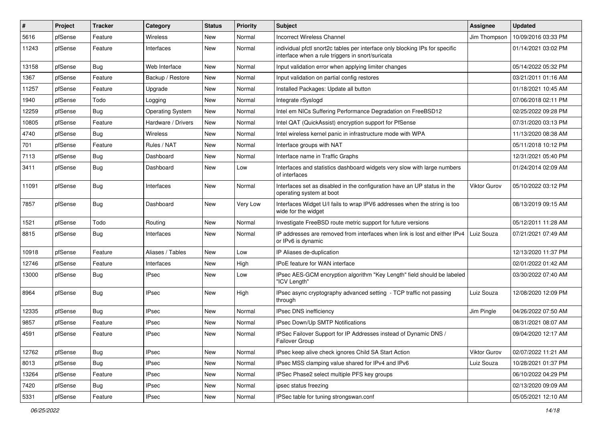| #     | Project | <b>Tracker</b> | Category                | <b>Status</b> | Priority | Subject                                                                                                                          | <b>Assignee</b>     | <b>Updated</b>      |
|-------|---------|----------------|-------------------------|---------------|----------|----------------------------------------------------------------------------------------------------------------------------------|---------------------|---------------------|
| 5616  | pfSense | Feature        | Wireless                | New           | Normal   | <b>Incorrect Wireless Channel</b>                                                                                                | Jim Thompson        | 10/09/2016 03:33 PM |
| 11243 | pfSense | Feature        | Interfaces              | New           | Normal   | individual pfctl snort2c tables per interface only blocking IPs for specific<br>interface when a rule triggers in snort/suricata |                     | 01/14/2021 03:02 PM |
| 13158 | pfSense | Bug            | Web Interface           | New           | Normal   | Input validation error when applying limiter changes                                                                             |                     | 05/14/2022 05:32 PM |
| 1367  | pfSense | Feature        | Backup / Restore        | New           | Normal   | Input validation on partial config restores                                                                                      |                     | 03/21/2011 01:16 AM |
| 11257 | pfSense | Feature        | Upgrade                 | New           | Normal   | Installed Packages: Update all button                                                                                            |                     | 01/18/2021 10:45 AM |
| 1940  | pfSense | Todo           | Logging                 | New           | Normal   | Integrate rSyslogd                                                                                                               |                     | 07/06/2018 02:11 PM |
| 12259 | pfSense | Bug            | <b>Operating System</b> | <b>New</b>    | Normal   | Intel em NICs Suffering Performance Degradation on FreeBSD12                                                                     |                     | 02/25/2022 09:28 PM |
| 10805 | pfSense | Feature        | Hardware / Drivers      | New           | Normal   | Intel QAT (QuickAssist) encryption support for PfSense                                                                           |                     | 07/31/2020 03:13 PM |
| 4740  | pfSense | Bug            | Wireless                | New           | Normal   | Intel wireless kernel panic in infrastructure mode with WPA                                                                      |                     | 11/13/2020 08:38 AM |
| 701   | pfSense | Feature        | Rules / NAT             | New           | Normal   | Interface groups with NAT                                                                                                        |                     | 05/11/2018 10:12 PM |
| 7113  | pfSense | Bug            | Dashboard               | New           | Normal   | Interface name in Traffic Graphs                                                                                                 |                     | 12/31/2021 05:40 PM |
| 3411  | pfSense | Bug            | Dashboard               | New           | Low      | Interfaces and statistics dashboard widgets very slow with large numbers<br>of interfaces                                        |                     | 01/24/2014 02:09 AM |
| 11091 | pfSense | Bug            | Interfaces              | New           | Normal   | Interfaces set as disabled in the configuration have an UP status in the<br>operating system at boot                             | Viktor Gurov        | 05/10/2022 03:12 PM |
| 7857  | pfSense | <b>Bug</b>     | Dashboard               | <b>New</b>    | Very Low | Interfaces Widget U/I fails to wrap IPV6 addresses when the string is too<br>wide for the widget                                 |                     | 08/13/2019 09:15 AM |
| 1521  | pfSense | Todo           | Routing                 | New           | Normal   | Investigate FreeBSD route metric support for future versions                                                                     |                     | 05/12/2011 11:28 AM |
| 8815  | pfSense | Bug            | Interfaces              | New           | Normal   | IP addresses are removed from interfaces when link is lost and either IPv4<br>or IPv6 is dynamic                                 | Luiz Souza          | 07/21/2021 07:49 AM |
| 10918 | pfSense | Feature        | Aliases / Tables        | <b>New</b>    | Low      | IP Aliases de-duplication                                                                                                        |                     | 12/13/2020 11:37 PM |
| 12746 | pfSense | Feature        | Interfaces              | New           | High     | IPoE feature for WAN interface                                                                                                   |                     | 02/01/2022 01:42 AM |
| 13000 | pfSense | Bug            | <b>IPsec</b>            | <b>New</b>    | Low      | IPsec AES-GCM encryption algorithm "Key Length" field should be labeled<br>"ICV Length"                                          |                     | 03/30/2022 07:40 AM |
| 8964  | pfSense | Bug            | <b>IPsec</b>            | New           | High     | IPsec async cryptography advanced setting - TCP traffic not passing<br>through                                                   | Luiz Souza          | 12/08/2020 12:09 PM |
| 12335 | pfSense | <b>Bug</b>     | <b>IPsec</b>            | New           | Normal   | IPsec DNS inefficiency                                                                                                           | Jim Pingle          | 04/26/2022 07:50 AM |
| 9857  | pfSense | Feature        | <b>IPsec</b>            | New           | Normal   | IPsec Down/Up SMTP Notifications                                                                                                 |                     | 08/31/2021 08:07 AM |
| 4591  | pfSense | Feature        | <b>IPsec</b>            | New           | Normal   | IPSec Failover Support for IP Addresses instead of Dynamic DNS /<br>Failover Group                                               |                     | 09/04/2020 12:17 AM |
| 12762 | pfSense | <b>Bug</b>     | <b>IPsec</b>            | New           | Normal   | IPsec keep alive check ignores Child SA Start Action                                                                             | <b>Viktor Gurov</b> | 02/07/2022 11:21 AM |
| 8013  | pfSense | <b>Bug</b>     | <b>IPsec</b>            | New           | Normal   | IPsec MSS clamping value shared for IPv4 and IPv6                                                                                | Luiz Souza          | 10/28/2021 01:37 PM |
| 13264 | pfSense | Feature        | <b>IPsec</b>            | New           | Normal   | IPSec Phase2 select multiple PFS key groups                                                                                      |                     | 06/10/2022 04:29 PM |
| 7420  | pfSense | Bug            | <b>IPsec</b>            | New           | Normal   | ipsec status freezing                                                                                                            |                     | 02/13/2020 09:09 AM |
| 5331  | pfSense | Feature        | <b>IPsec</b>            | New           | Normal   | IPSec table for tuning strongswan.conf                                                                                           |                     | 05/05/2021 12:10 AM |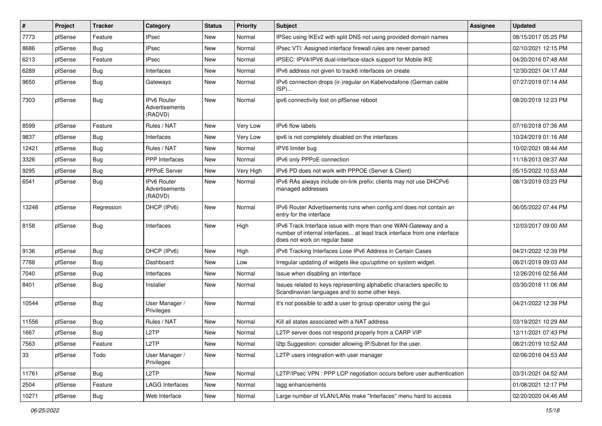| $\vert$ # | Project | <b>Tracker</b> | Category                                        | <b>Status</b> | <b>Priority</b> | <b>Subject</b>                                                                                                                                                                | Assignee | <b>Updated</b>      |
|-----------|---------|----------------|-------------------------------------------------|---------------|-----------------|-------------------------------------------------------------------------------------------------------------------------------------------------------------------------------|----------|---------------------|
| 7773      | pfSense | Feature        | <b>IPsec</b>                                    | New           | Normal          | IPSec using IKEv2 with split DNS not using provided domain names                                                                                                              |          | 08/15/2017 05:25 PM |
| 8686      | pfSense | Bug            | <b>IPsec</b>                                    | New           | Normal          | IPsec VTI: Assigned interface firewall rules are never parsed                                                                                                                 |          | 02/10/2021 12:15 PM |
| 6213      | pfSense | Feature        | <b>IPsec</b>                                    | New           | Normal          | IPSEC: IPV4/IPV6 dual-interface-stack support for Mobile IKE                                                                                                                  |          | 04/20/2016 07:48 AM |
| 6289      | pfSense | <b>Bug</b>     | Interfaces                                      | New           | Normal          | IPv6 address not given to track6 interfaces on create                                                                                                                         |          | 12/30/2021 04:17 AM |
| 9650      | pfSense | <b>Bug</b>     | Gateways                                        | New           | Normal          | IPv6 connection drops (ir-)regular on Kabelvodafone (German cable<br>ISP)                                                                                                     |          | 07/27/2019 07:14 AM |
| 7303      | pfSense | <b>Bug</b>     | <b>IPv6 Router</b><br>Advertisements<br>(RADVD) | New           | Normal          | ipv6 connectivity lost on pfSense reboot                                                                                                                                      |          | 08/20/2019 12:23 PM |
| 8599      | pfSense | Feature        | Rules / NAT                                     | New           | Very Low        | IPv6 flow labels                                                                                                                                                              |          | 07/16/2018 07:36 AM |
| 9837      | pfSense | Bug            | Interfaces                                      | New           | Very Low        | ipv6 is not completely disabled on the interfaces                                                                                                                             |          | 10/24/2019 01:16 AM |
| 12421     | pfSense | <b>Bug</b>     | Rules / NAT                                     | New           | Normal          | IPV6 limiter bug                                                                                                                                                              |          | 10/02/2021 08:44 AM |
| 3326      | pfSense | <b>Bug</b>     | PPP Interfaces                                  | New           | Normal          | IPv6 only PPPoE connection                                                                                                                                                    |          | 11/18/2013 09:37 AM |
| 9295      | pfSense | Bug            | PPPoE Server                                    | New           | Very High       | IPv6 PD does not work with PPPOE (Server & Client)                                                                                                                            |          | 05/15/2022 10:53 AM |
| 6541      | pfSense | <b>Bug</b>     | <b>IPv6 Router</b><br>Advertisements<br>(RADVD) | New           | Normal          | IPv6 RAs always include on-link prefix; clients may not use DHCPv6<br>managed addresses                                                                                       |          | 08/13/2019 03:23 PM |
| 13248     | pfSense | Regression     | DHCP (IPv6)                                     | New           | Normal          | IPv6 Router Advertisements runs when config.xml does not contain an<br>entry for the interface                                                                                |          | 06/05/2022 07:44 PM |
| 8158      | pfSense | <b>Bug</b>     | Interfaces                                      | New           | High            | IPv6 Track Interface issue with more than one WAN-Gateway and a<br>number of internal interfaces at least track interface from one interface<br>does not work on regular base |          | 12/03/2017 09:00 AM |
| 9136      | pfSense | <b>Bug</b>     | DHCP (IPv6)                                     | New           | High            | IPv6 Tracking Interfaces Lose IPv6 Address in Certain Cases                                                                                                                   |          | 04/21/2022 12:39 PM |
| 7788      | pfSense | <b>Bug</b>     | Dashboard                                       | New           | Low             | Irregular updating of widgets like cpu/uptime on system widget.                                                                                                               |          | 08/21/2019 09:03 AM |
| 7040      | pfSense | Bug            | Interfaces                                      | New           | Normal          | Issue when disabling an interface                                                                                                                                             |          | 12/26/2016 02:56 AM |
| 8401      | pfSense | <b>Bug</b>     | Installer                                       | New           | Normal          | Issues related to keys representing alphabetic characters specific to<br>Scandinavian languages and to some other keys.                                                       |          | 03/30/2018 11:06 AM |
| 10544     | pfSense | <b>Bug</b>     | User Manager /<br>Privileges                    | New           | Normal          | It's not possible to add a user to group operator using the gui                                                                                                               |          | 04/21/2022 12:39 PM |
| 11556     | pfSense | Bug            | Rules / NAT                                     | New           | Normal          | Kill all states associated with a NAT address                                                                                                                                 |          | 03/19/2021 10:29 AM |
| 1667      | pfSense | Bug            | L <sub>2</sub> TP                               | New           | Normal          | L2TP server does not respond properly from a CARP VIP                                                                                                                         |          | 12/11/2021 07:43 PM |
| 7563      | pfSense | Feature        | L <sub>2</sub> TP                               | New           | Normal          | I2tp Suggestion: consider allowing IP/Subnet for the user.                                                                                                                    |          | 08/21/2019 10:52 AM |
| 33        | pfSense | Todo           | User Manager /<br>Privileges                    | New           | Normal          | L2TP users integration with user manager                                                                                                                                      |          | 02/06/2016 04:53 AM |
| 11761     | pfSense | <b>Bug</b>     | L2TP                                            | New           | Normal          | L2TP/IPsec VPN : PPP LCP negotiation occurs before user authentication                                                                                                        |          | 03/31/2021 04:52 AM |
| 2504      | pfSense | Feature        | <b>LAGG Interfaces</b>                          | New           | Normal          | lagg enhancements                                                                                                                                                             |          | 01/08/2021 12:17 PM |
| 10271     | pfSense | <b>Bug</b>     | Web Interface                                   | New           | Normal          | Large number of VLAN/LANs make "Interfaces" menu hard to access                                                                                                               |          | 02/20/2020 04:46 AM |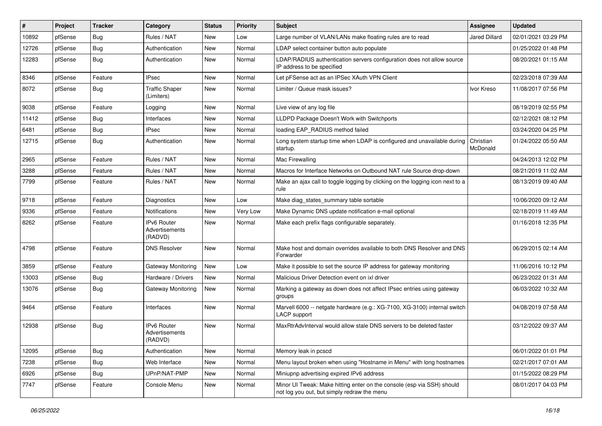| $\vert$ # | Project | <b>Tracker</b> | Category                                        | <b>Status</b> | <b>Priority</b> | <b>Subject</b>                                                                                                        | Assignee              | <b>Updated</b>      |
|-----------|---------|----------------|-------------------------------------------------|---------------|-----------------|-----------------------------------------------------------------------------------------------------------------------|-----------------------|---------------------|
| 10892     | pfSense | <b>Bug</b>     | Rules / NAT                                     | New           | Low             | Large number of VLAN/LANs make floating rules are to read                                                             | <b>Jared Dillard</b>  | 02/01/2021 03:29 PM |
| 12726     | pfSense | <b>Bug</b>     | Authentication                                  | New           | Normal          | LDAP select container button auto populate                                                                            |                       | 01/25/2022 01:48 PM |
| 12283     | pfSense | Bug            | Authentication                                  | New           | Normal          | LDAP/RADIUS authentication servers configuration does not allow source<br>IP address to be specified                  |                       | 08/20/2021 01:15 AM |
| 8346      | pfSense | Feature        | <b>IPsec</b>                                    | New           | Normal          | Let pFSense act as an IPSec XAuth VPN Client                                                                          |                       | 02/23/2018 07:39 AM |
| 8072      | pfSense | Bug            | <b>Traffic Shaper</b><br>(Limiters)             | New           | Normal          | Limiter / Queue mask issues?                                                                                          | Ivor Kreso            | 11/08/2017 07:56 PM |
| 9038      | pfSense | Feature        | Logging                                         | New           | Normal          | Live view of any log file                                                                                             |                       | 08/19/2019 02:55 PM |
| 11412     | pfSense | <b>Bug</b>     | Interfaces                                      | New           | Normal          | LLDPD Package Doesn't Work with Switchports                                                                           |                       | 02/12/2021 08:12 PM |
| 6481      | pfSense | <b>Bug</b>     | IPsec                                           | New           | Normal          | loading EAP_RADIUS method failed                                                                                      |                       | 03/24/2020 04:25 PM |
| 12715     | pfSense | Bug            | Authentication                                  | New           | Normal          | Long system startup time when LDAP is configured and unavailable during<br>startup.                                   | Christian<br>McDonald | 01/24/2022 05:50 AM |
| 2965      | pfSense | Feature        | Rules / NAT                                     | New           | Normal          | Mac Firewalling                                                                                                       |                       | 04/24/2013 12:02 PM |
| 3288      | pfSense | Feature        | Rules / NAT                                     | New           | Normal          | Macros for Interface Networks on Outbound NAT rule Source drop-down                                                   |                       | 08/21/2019 11:02 AM |
| 7799      | pfSense | Feature        | Rules / NAT                                     | New           | Normal          | Make an ajax call to toggle logging by clicking on the logging icon next to a<br>rule                                 |                       | 08/13/2019 09:40 AM |
| 9718      | pfSense | Feature        | <b>Diagnostics</b>                              | New           | Low             | Make diag states summary table sortable                                                                               |                       | 10/06/2020 09:12 AM |
| 9336      | pfSense | Feature        | Notifications                                   | New           | Very Low        | Make Dynamic DNS update notification e-mail optional                                                                  |                       | 02/18/2019 11:49 AM |
| 8262      | pfSense | Feature        | <b>IPv6 Router</b><br>Advertisements<br>(RADVD) | New           | Normal          | Make each prefix flags configurable separately.                                                                       |                       | 01/16/2018 12:35 PM |
| 4798      | pfSense | Feature        | <b>DNS Resolver</b>                             | New           | Normal          | Make host and domain overrides available to both DNS Resolver and DNS<br>Forwarder                                    |                       | 06/29/2015 02:14 AM |
| 3859      | pfSense | Feature        | Gateway Monitoring                              | New           | Low             | Make it possible to set the source IP address for gateway monitoring                                                  |                       | 11/06/2016 10:12 PM |
| 13003     | pfSense | <b>Bug</b>     | Hardware / Drivers                              | New           | Normal          | Malicious Driver Detection event on ixl driver                                                                        |                       | 06/23/2022 01:31 AM |
| 13076     | pfSense | <b>Bug</b>     | Gateway Monitoring                              | New           | Normal          | Marking a gateway as down does not affect IPsec entries using gateway<br>groups                                       |                       | 06/03/2022 10:32 AM |
| 9464      | pfSense | Feature        | Interfaces                                      | New           | Normal          | Marvell 6000 -- netgate hardware (e.g.: XG-7100, XG-3100) internal switch<br>LACP support                             |                       | 04/08/2019 07:58 AM |
| 12938     | pfSense | Bug            | <b>IPv6 Router</b><br>Advertisements<br>(RADVD) | New           | Normal          | MaxRtrAdvInterval would allow stale DNS servers to be deleted faster                                                  |                       | 03/12/2022 09:37 AM |
| 12095     | pfSense | Bug            | Authentication                                  | New           | Normal          | Memory leak in pcscd                                                                                                  |                       | 06/01/2022 01:01 PM |
| 7238      | pfSense | <b>Bug</b>     | Web Interface                                   | New           | Normal          | Menu layout broken when using "Hostname in Menu" with long hostnames                                                  |                       | 02/21/2017 07:01 AM |
| 6926      | pfSense | <b>Bug</b>     | UPnP/NAT-PMP                                    | New           | Normal          | Miniupnp advertising expired IPv6 address                                                                             |                       | 01/15/2022 08:29 PM |
| 7747      | pfSense | Feature        | Console Menu                                    | New           | Normal          | Minor UI Tweak: Make hitting enter on the console (esp via SSH) should<br>not log you out, but simply redraw the menu |                       | 08/01/2017 04:03 PM |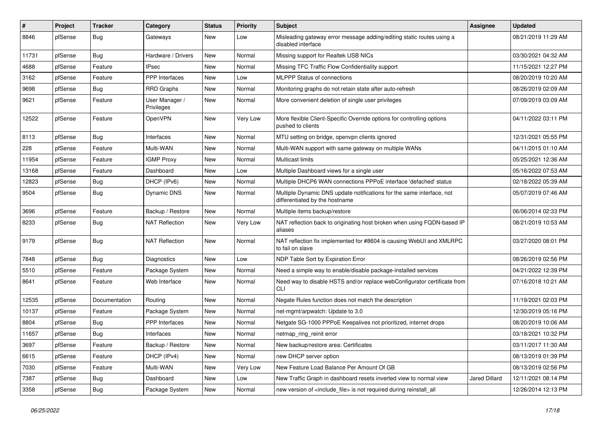| #     | Project | <b>Tracker</b> | Category                     | <b>Status</b> | <b>Priority</b> | Subject                                                                                                 | Assignee      | <b>Updated</b>      |
|-------|---------|----------------|------------------------------|---------------|-----------------|---------------------------------------------------------------------------------------------------------|---------------|---------------------|
| 8846  | pfSense | <b>Bug</b>     | Gateways                     | New           | Low             | Misleading gateway error message adding/editing static routes using a<br>disabled interface             |               | 08/21/2019 11:29 AM |
| 11731 | pfSense | <b>Bug</b>     | Hardware / Drivers           | New           | Normal          | Missing support for Realtek USB NICs                                                                    |               | 03/30/2021 04:32 AM |
| 4688  | pfSense | Feature        | <b>IPsec</b>                 | New           | Normal          | Missing TFC Traffic Flow Confidentiality support                                                        |               | 11/15/2021 12:27 PM |
| 3162  | pfSense | Feature        | <b>PPP</b> Interfaces        | <b>New</b>    | Low             | <b>MLPPP Status of connections</b>                                                                      |               | 08/20/2019 10:20 AM |
| 9698  | pfSense | <b>Bug</b>     | RRD Graphs                   | New           | Normal          | Monitoring graphs do not retain state after auto-refresh                                                |               | 08/26/2019 02:09 AM |
| 9621  | pfSense | Feature        | User Manager /<br>Privileges | New           | Normal          | More convenient deletion of single user privileges                                                      |               | 07/09/2019 03:09 AM |
| 12522 | pfSense | Feature        | OpenVPN                      | <b>New</b>    | Very Low        | More flexible Client-Specific Override options for controlling options<br>pushed to clients             |               | 04/11/2022 03:11 PM |
| 8113  | pfSense | <b>Bug</b>     | Interfaces                   | New           | Normal          | MTU setting on bridge, openvpn clients ignored                                                          |               | 12/31/2021 05:55 PM |
| 228   | pfSense | Feature        | Multi-WAN                    | New           | Normal          | Multi-WAN support with same gateway on multiple WANs                                                    |               | 04/11/2015 01:10 AM |
| 11954 | pfSense | Feature        | <b>IGMP Proxy</b>            | <b>New</b>    | Normal          | <b>Multicast limits</b>                                                                                 |               | 05/25/2021 12:36 AM |
| 13168 | pfSense | Feature        | Dashboard                    | New           | Low             | Multiple Dashboard views for a single user                                                              |               | 05/16/2022 07:53 AM |
| 12823 | pfSense | <b>Bug</b>     | DHCP (IPv6)                  | <b>New</b>    | Normal          | Multiple DHCP6 WAN connections PPPoE interface 'defached' status                                        |               | 02/18/2022 05:39 AM |
| 9504  | pfSense | <b>Bug</b>     | <b>Dynamic DNS</b>           | <b>New</b>    | Normal          | Multiple Dynamic DNS update notifications for the same interface, not<br>differentiated by the hostname |               | 05/07/2019 07:46 AM |
| 3696  | pfSense | Feature        | Backup / Restore             | New           | Normal          | Multiple items backup/restore                                                                           |               | 06/06/2014 02:33 PM |
| 8233  | pfSense | <b>Bug</b>     | <b>NAT Reflection</b>        | <b>New</b>    | Very Low        | NAT reflection back to originating host broken when using FQDN-based IP<br>aliases                      |               | 08/21/2019 10:53 AM |
| 9179  | pfSense | <b>Bug</b>     | <b>NAT Reflection</b>        | New           | Normal          | NAT reflection fix implemented for #8604 is causing WebUI and XMLRPC<br>to fail on slave                |               | 03/27/2020 08:01 PM |
| 7848  | pfSense | Bug            | Diagnostics                  | New           | Low             | NDP Table Sort by Expiration Error                                                                      |               | 08/26/2019 02:56 PM |
| 5510  | pfSense | Feature        | Package System               | <b>New</b>    | Normal          | Need a simple way to enable/disable package-installed services                                          |               | 04/21/2022 12:39 PM |
| 8641  | pfSense | Feature        | Web Interface                | <b>New</b>    | Normal          | Need way to disable HSTS and/or replace webConfigurator certificate from<br>CLI                         |               | 07/16/2018 10:21 AM |
| 12535 | pfSense | Documentation  | Routing                      | <b>New</b>    | Normal          | Negate Rules function does not match the description                                                    |               | 11/19/2021 02:03 PM |
| 10137 | pfSense | Feature        | Package System               | <b>New</b>    | Normal          | net-mgmt/arpwatch: Update to 3.0                                                                        |               | 12/30/2019 05:16 PM |
| 8804  | pfSense | <b>Bug</b>     | <b>PPP</b> Interfaces        | <b>New</b>    | Normal          | Netgate SG-1000 PPPoE Keepalives not prioritized, internet drops                                        |               | 08/20/2019 10:06 AM |
| 11657 | pfSense | Bug            | Interfaces                   | New           | Normal          | netmap_ring_reinit error                                                                                |               | 03/18/2021 10:32 PM |
| 3697  | pfSense | Feature        | Backup / Restore             | New           | Normal          | New backup/restore area: Certificates                                                                   |               | 03/11/2017 11:30 AM |
| 6615  | pfSense | Feature        | DHCP (IPv4)                  | New           | Normal          | new DHCP server option                                                                                  |               | 08/13/2019 01:39 PM |
| 7030  | pfSense | Feature        | Multi-WAN                    | New           | Very Low        | New Feature Load Balance Per Amount Of GB                                                               |               | 08/13/2019 02:56 PM |
| 7387  | pfSense | <b>Bug</b>     | Dashboard                    | New           | Low             | New Traffic Graph in dashboard resets inverted view to normal view                                      | Jared Dillard | 12/11/2021 08:14 PM |
| 3358  | pfSense | <b>Bug</b>     | Package System               | New           | Normal          | new version of <include_file> is not required during reinstall_all</include_file>                       |               | 12/26/2014 12:13 PM |